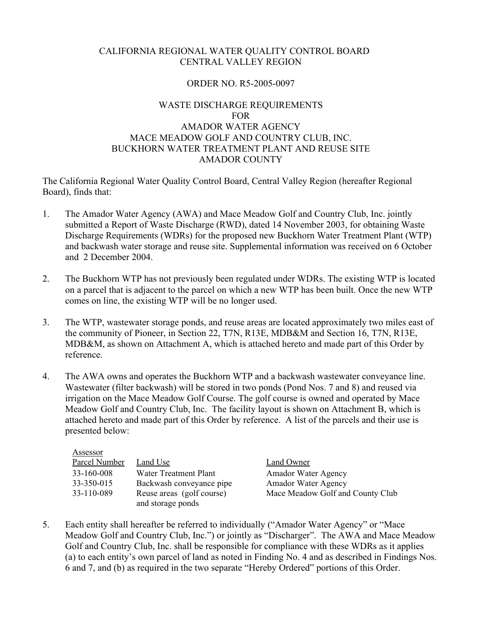## CALIFORNIA REGIONAL WATER QUALITY CONTROL BOARD CENTRAL VALLEY REGION

# ORDER NO. R5-2005-0097

# WASTE DISCHARGE REQUIREMENTS FOR AMADOR WATER AGENCY MACE MEADOW GOLF AND COUNTRY CLUB, INC. BUCKHORN WATER TREATMENT PLANT AND REUSE SITE AMADOR COUNTY

The California Regional Water Quality Control Board, Central Valley Region (hereafter Regional Board), finds that:

- 1. The Amador Water Agency (AWA) and Mace Meadow Golf and Country Club, Inc. jointly submitted a Report of Waste Discharge (RWD), dated 14 November 2003, for obtaining Waste Discharge Requirements (WDRs) for the proposed new Buckhorn Water Treatment Plant (WTP) and backwash water storage and reuse site. Supplemental information was received on 6 October and 2 December 2004.
- 2. The Buckhorn WTP has not previously been regulated under WDRs. The existing WTP is located on a parcel that is adjacent to the parcel on which a new WTP has been built. Once the new WTP comes on line, the existing WTP will be no longer used.
- 3. The WTP, wastewater storage ponds, and reuse areas are located approximately two miles east of the community of Pioneer, in Section 22, T7N, R13E, MDB&M and Section 16, T7N, R13E, MDB&M, as shown on Attachment A, which is attached hereto and made part of this Order by reference.
- 4. The AWA owns and operates the Buckhorn WTP and a backwash wastewater conveyance line. Wastewater (filter backwash) will be stored in two ponds (Pond Nos. 7 and 8) and reused via irrigation on the Mace Meadow Golf Course. The golf course is owned and operated by Mace Meadow Golf and Country Club, Inc. The facility layout is shown on Attachment B, which is attached hereto and made part of this Order by reference. A list of the parcels and their use is presented below:

| Assessor      |                                                |                                  |
|---------------|------------------------------------------------|----------------------------------|
| Parcel Number | Land Use                                       | Land Owner                       |
| 33-160-008    | Water Treatment Plant                          | <b>Amador Water Agency</b>       |
| 33-350-015    | Backwash conveyance pipe                       | <b>Amador Water Agency</b>       |
| 33-110-089    | Reuse areas (golf course)<br>and storage ponds | Mace Meadow Golf and County Club |

5. Each entity shall hereafter be referred to individually ("Amador Water Agency" or "Mace Meadow Golf and Country Club, Inc.") or jointly as "Discharger". The AWA and Mace Meadow Golf and Country Club, Inc. shall be responsible for compliance with these WDRs as it applies (a) to each entity's own parcel of land as noted in Finding No. 4 and as described in Findings Nos. 6 and 7, and (b) as required in the two separate "Hereby Ordered" portions of this Order.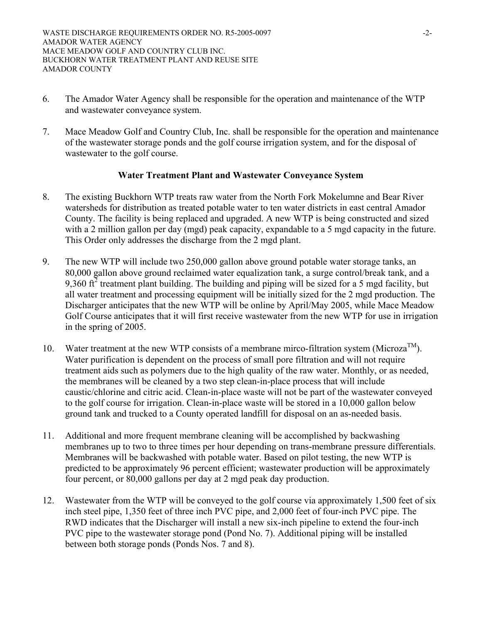- 6. The Amador Water Agency shall be responsible for the operation and maintenance of the WTP and wastewater conveyance system.
- 7. Mace Meadow Golf and Country Club, Inc. shall be responsible for the operation and maintenance of the wastewater storage ponds and the golf course irrigation system, and for the disposal of wastewater to the golf course.

# **Water Treatment Plant and Wastewater Conveyance System**

- 8. The existing Buckhorn WTP treats raw water from the North Fork Mokelumne and Bear River watersheds for distribution as treated potable water to ten water districts in east central Amador County. The facility is being replaced and upgraded. A new WTP is being constructed and sized with a 2 million gallon per day (mgd) peak capacity, expandable to a 5 mgd capacity in the future. This Order only addresses the discharge from the 2 mgd plant.
- 9. The new WTP will include two 250,000 gallon above ground potable water storage tanks, an 80,000 gallon above ground reclaimed water equalization tank, a surge control/break tank, and a 9,360  $\text{ft}^2$  treatment plant building. The building and piping will be sized for a 5 mgd facility, but all water treatment and processing equipment will be initially sized for the 2 mgd production. The Discharger anticipates that the new WTP will be online by April/May 2005, while Mace Meadow Golf Course anticipates that it will first receive wastewater from the new WTP for use in irrigation in the spring of 2005.
- 10. Water treatment at the new WTP consists of a membrane mirco-filtration system (Microza<sup>TM</sup>). Water purification is dependent on the process of small pore filtration and will not require treatment aids such as polymers due to the high quality of the raw water. Monthly, or as needed, the membranes will be cleaned by a two step clean-in-place process that will include caustic/chlorine and citric acid. Clean-in-place waste will not be part of the wastewater conveyed to the golf course for irrigation. Clean-in-place waste will be stored in a 10,000 gallon below ground tank and trucked to a County operated landfill for disposal on an as-needed basis.
- 11. Additional and more frequent membrane cleaning will be accomplished by backwashing membranes up to two to three times per hour depending on trans-membrane pressure differentials. Membranes will be backwashed with potable water. Based on pilot testing, the new WTP is predicted to be approximately 96 percent efficient; wastewater production will be approximately four percent, or 80,000 gallons per day at 2 mgd peak day production.
- 12. Wastewater from the WTP will be conveyed to the golf course via approximately 1,500 feet of six inch steel pipe, 1,350 feet of three inch PVC pipe, and 2,000 feet of four-inch PVC pipe. The RWD indicates that the Discharger will install a new six-inch pipeline to extend the four-inch PVC pipe to the wastewater storage pond (Pond No. 7). Additional piping will be installed between both storage ponds (Ponds Nos. 7 and 8).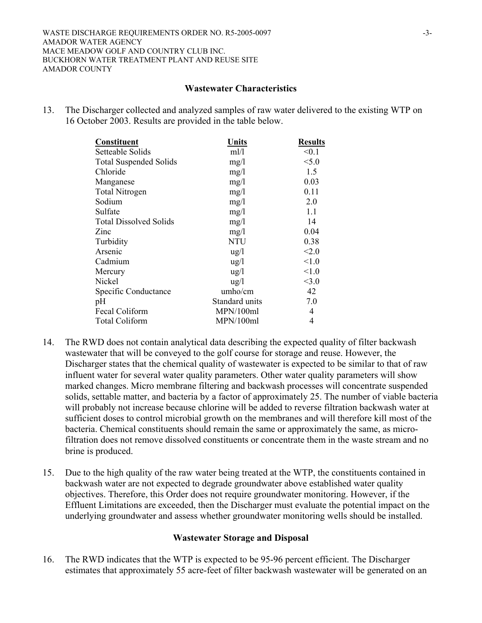## **Wastewater Characteristics**

13. The Discharger collected and analyzed samples of raw water delivered to the existing WTP on 16 October 2003. Results are provided in the table below.

| Constituent                   | Units           | <b>Results</b> |
|-------------------------------|-----------------|----------------|
| Setteable Solids              | m!/l            | < 0.1          |
| <b>Total Suspended Solids</b> | mg/l            | < 5.0          |
| Chloride                      | mg/1            | 1.5            |
| Manganese                     | mg/l            | 0.03           |
| <b>Total Nitrogen</b>         | mg/l            | 0.11           |
| Sodium                        | mg/l            | 2.0            |
| Sulfate                       | mg/l            | 1.1            |
| <b>Total Dissolved Solids</b> | mg/l            | 14             |
| Zinc                          | mg/1            | 0.04           |
| Turbidity                     | <b>NTU</b>      | 0.38           |
| Arsenic                       | $\frac{u}{g}$   | < 2.0          |
| Cadmium                       | $\frac{u}{g}$   | < 1.0          |
| Mercury                       | $\frac{u g}{l}$ | < 1.0          |
| Nickel                        | $\frac{u g}{l}$ | <3.0           |
| Specific Conductance          | umbo/cm         | 42             |
| pH                            | Standard units  | 7.0            |
| Fecal Coliform                | MPN/100ml       | 4              |
| <b>Total Coliform</b>         | MPN/100ml       | 4              |

- 14. The RWD does not contain analytical data describing the expected quality of filter backwash wastewater that will be conveyed to the golf course for storage and reuse. However, the Discharger states that the chemical quality of wastewater is expected to be similar to that of raw influent water for several water quality parameters. Other water quality parameters will show marked changes. Micro membrane filtering and backwash processes will concentrate suspended solids, settable matter, and bacteria by a factor of approximately 25. The number of viable bacteria will probably not increase because chlorine will be added to reverse filtration backwash water at sufficient doses to control microbial growth on the membranes and will therefore kill most of the bacteria. Chemical constituents should remain the same or approximately the same, as microfiltration does not remove dissolved constituents or concentrate them in the waste stream and no brine is produced.
- 15. Due to the high quality of the raw water being treated at the WTP, the constituents contained in backwash water are not expected to degrade groundwater above established water quality objectives. Therefore, this Order does not require groundwater monitoring. However, if the Effluent Limitations are exceeded, then the Discharger must evaluate the potential impact on the underlying groundwater and assess whether groundwater monitoring wells should be installed.

## **Wastewater Storage and Disposal**

16. The RWD indicates that the WTP is expected to be 95-96 percent efficient. The Discharger estimates that approximately 55 acre-feet of filter backwash wastewater will be generated on an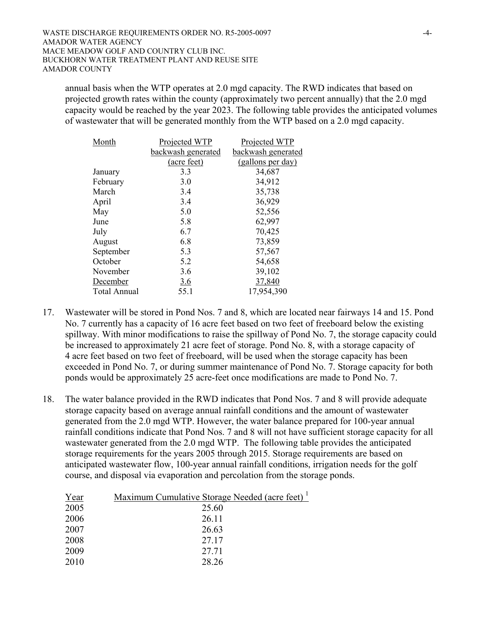annual basis when the WTP operates at 2.0 mgd capacity. The RWD indicates that based on projected growth rates within the county (approximately two percent annually) that the 2.0 mgd capacity would be reached by the year 2023. The following table provides the anticipated volumes of wastewater that will be generated monthly from the WTP based on a 2.0 mgd capacity.

| Month               | Projected WTP      | Projected WTP      |
|---------------------|--------------------|--------------------|
|                     | backwash generated | backwash generated |
|                     | (acre feet)        | (gallons per day)  |
| January             | 3.3                | 34,687             |
| February            | 3.0                | 34,912             |
| March               | 3.4                | 35,738             |
| April               | 3.4                | 36,929             |
| May                 | 5.0                | 52,556             |
| June                | 5.8                | 62,997             |
| July                | 6.7                | 70,425             |
| August              | 6.8                | 73,859             |
| September           | 5.3                | 57,567             |
| October             | 5.2                | 54,658             |
| November            | 3.6                | 39,102             |
| December            | <u>3.6</u>         | 37,840             |
| <b>Total Annual</b> | 55.1               | 17,954,390         |

- 17. Wastewater will be stored in Pond Nos. 7 and 8, which are located near fairways 14 and 15. Pond No. 7 currently has a capacity of 16 acre feet based on two feet of freeboard below the existing spillway. With minor modifications to raise the spillway of Pond No. 7, the storage capacity could be increased to approximately 21 acre feet of storage. Pond No. 8, with a storage capacity of 4 acre feet based on two feet of freeboard, will be used when the storage capacity has been exceeded in Pond No. 7, or during summer maintenance of Pond No. 7. Storage capacity for both ponds would be approximately 25 acre-feet once modifications are made to Pond No. 7.
- 18. The water balance provided in the RWD indicates that Pond Nos. 7 and 8 will provide adequate storage capacity based on average annual rainfall conditions and the amount of wastewater generated from the 2.0 mgd WTP. However, the water balance prepared for 100-year annual rainfall conditions indicate that Pond Nos. 7 and 8 will not have sufficient storage capacity for all wastewater generated from the 2.0 mgd WTP. The following table provides the anticipated storage requirements for the years 2005 through 2015. Storage requirements are based on anticipated wastewater flow, 100-year annual rainfall conditions, irrigation needs for the golf course, and disposal via evaporation and percolation from the storage ponds.

| Year | Maximum Cumulative Storage Needed (acre feet) <sup>1</sup> |
|------|------------------------------------------------------------|
| 2005 | 25.60                                                      |
| 2006 | 26.11                                                      |
| 2007 | 26.63                                                      |
| 2008 | 27.17                                                      |
| 2009 | 27.71                                                      |
| 2010 | 28.26                                                      |
|      |                                                            |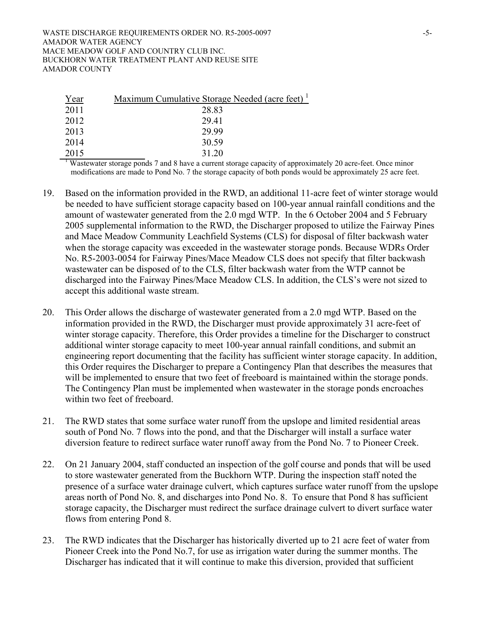| Year | Maximum Cumulative Storage Needed (acre feet) |
|------|-----------------------------------------------|
| 2011 | 28.83                                         |
| 2012 | 29.41                                         |
| 2013 | 29.99                                         |
| 2014 | 30.59                                         |
| 2015 | 31.20                                         |

<sup>1</sup> Wastewater storage ponds 7 and 8 have a current storage capacity of approximately 20 acre-feet. Once minor modifications are made to Pond No. 7 the storage capacity of both ponds would be approximately 25 acre feet.

- 19. Based on the information provided in the RWD, an additional 11-acre feet of winter storage would be needed to have sufficient storage capacity based on 100-year annual rainfall conditions and the amount of wastewater generated from the 2.0 mgd WTP. In the 6 October 2004 and 5 February 2005 supplemental information to the RWD, the Discharger proposed to utilize the Fairway Pines and Mace Meadow Community Leachfield Systems (CLS) for disposal of filter backwash water when the storage capacity was exceeded in the wastewater storage ponds. Because WDRs Order No. R5-2003-0054 for Fairway Pines/Mace Meadow CLS does not specify that filter backwash wastewater can be disposed of to the CLS, filter backwash water from the WTP cannot be discharged into the Fairway Pines/Mace Meadow CLS. In addition, the CLS's were not sized to accept this additional waste stream.
- 20. This Order allows the discharge of wastewater generated from a 2.0 mgd WTP. Based on the information provided in the RWD, the Discharger must provide approximately 31 acre-feet of winter storage capacity. Therefore, this Order provides a timeline for the Discharger to construct additional winter storage capacity to meet 100-year annual rainfall conditions, and submit an engineering report documenting that the facility has sufficient winter storage capacity. In addition, this Order requires the Discharger to prepare a Contingency Plan that describes the measures that will be implemented to ensure that two feet of freeboard is maintained within the storage ponds. The Contingency Plan must be implemented when wastewater in the storage ponds encroaches within two feet of freeboard.
- 21. The RWD states that some surface water runoff from the upslope and limited residential areas south of Pond No. 7 flows into the pond, and that the Discharger will install a surface water diversion feature to redirect surface water runoff away from the Pond No. 7 to Pioneer Creek.
- 22. On 21 January 2004, staff conducted an inspection of the golf course and ponds that will be used to store wastewater generated from the Buckhorn WTP. During the inspection staff noted the presence of a surface water drainage culvert, which captures surface water runoff from the upslope areas north of Pond No. 8, and discharges into Pond No. 8. To ensure that Pond 8 has sufficient storage capacity, the Discharger must redirect the surface drainage culvert to divert surface water flows from entering Pond 8.
- 23. The RWD indicates that the Discharger has historically diverted up to 21 acre feet of water from Pioneer Creek into the Pond No.7, for use as irrigation water during the summer months. The Discharger has indicated that it will continue to make this diversion, provided that sufficient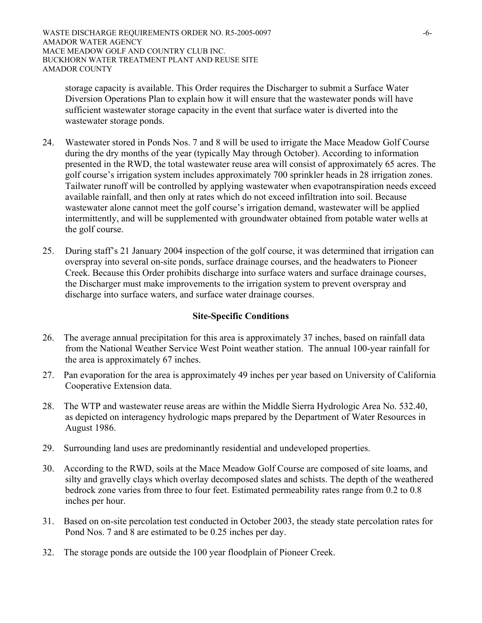storage capacity is available. This Order requires the Discharger to submit a Surface Water Diversion Operations Plan to explain how it will ensure that the wastewater ponds will have sufficient wastewater storage capacity in the event that surface water is diverted into the wastewater storage ponds.

- 24. Wastewater stored in Ponds Nos. 7 and 8 will be used to irrigate the Mace Meadow Golf Course during the dry months of the year (typically May through October). According to information presented in the RWD, the total wastewater reuse area will consist of approximately 65 acres. The golf course's irrigation system includes approximately 700 sprinkler heads in 28 irrigation zones. Tailwater runoff will be controlled by applying wastewater when evapotranspiration needs exceed available rainfall, and then only at rates which do not exceed infiltration into soil. Because wastewater alone cannot meet the golf course's irrigation demand, wastewater will be applied intermittently, and will be supplemented with groundwater obtained from potable water wells at the golf course.
- 25. During staff's 21 January 2004 inspection of the golf course, it was determined that irrigation can overspray into several on-site ponds, surface drainage courses, and the headwaters to Pioneer Creek. Because this Order prohibits discharge into surface waters and surface drainage courses, the Discharger must make improvements to the irrigation system to prevent overspray and discharge into surface waters, and surface water drainage courses.

# **Site-Specific Conditions**

- 26. The average annual precipitation for this area is approximately 37 inches, based on rainfall data from the National Weather Service West Point weather station. The annual 100-year rainfall for the area is approximately 67 inches.
- 27. Pan evaporation for the area is approximately 49 inches per year based on University of California Cooperative Extension data.
- 28. The WTP and wastewater reuse areas are within the Middle Sierra Hydrologic Area No. 532.40, as depicted on interagency hydrologic maps prepared by the Department of Water Resources in August 1986.
- 29. Surrounding land uses are predominantly residential and undeveloped properties.
- 30. According to the RWD, soils at the Mace Meadow Golf Course are composed of site loams, and silty and gravelly clays which overlay decomposed slates and schists. The depth of the weathered bedrock zone varies from three to four feet. Estimated permeability rates range from 0.2 to 0.8 inches per hour.
- 31. Based on on-site percolation test conducted in October 2003, the steady state percolation rates for Pond Nos. 7 and 8 are estimated to be 0.25 inches per day.
- 32. The storage ponds are outside the 100 year floodplain of Pioneer Creek.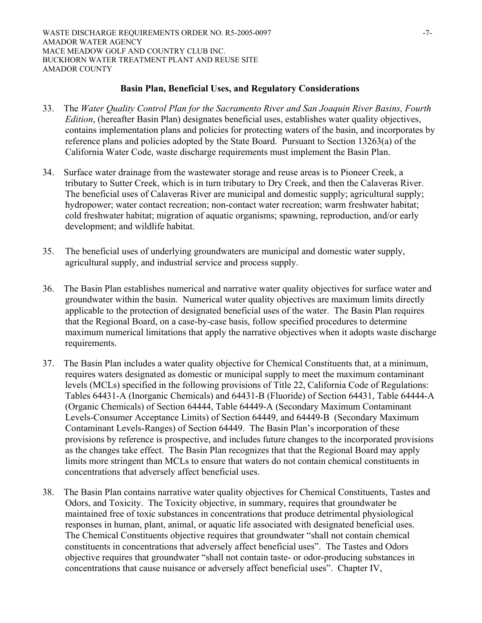## **Basin Plan, Beneficial Uses, and Regulatory Considerations**

- 33. The *Water Quality Control Plan for the Sacramento River and San Joaquin River Basins, Fourth Edition*, (hereafter Basin Plan) designates beneficial uses, establishes water quality objectives, contains implementation plans and policies for protecting waters of the basin, and incorporates by reference plans and policies adopted by the State Board. Pursuant to Section 13263(a) of the California Water Code, waste discharge requirements must implement the Basin Plan.
- 34. Surface water drainage from the wastewater storage and reuse areas is to Pioneer Creek, a tributary to Sutter Creek, which is in turn tributary to Dry Creek, and then the Calaveras River. The beneficial uses of Calaveras River are municipal and domestic supply; agricultural supply; hydropower; water contact recreation; non-contact water recreation; warm freshwater habitat; cold freshwater habitat; migration of aquatic organisms; spawning, reproduction, and/or early development; and wildlife habitat.
- 35. The beneficial uses of underlying groundwaters are municipal and domestic water supply, agricultural supply, and industrial service and process supply.
- 36. The Basin Plan establishes numerical and narrative water quality objectives for surface water and groundwater within the basin. Numerical water quality objectives are maximum limits directly applicable to the protection of designated beneficial uses of the water. The Basin Plan requires that the Regional Board, on a case-by-case basis, follow specified procedures to determine maximum numerical limitations that apply the narrative objectives when it adopts waste discharge requirements.
- 37. The Basin Plan includes a water quality objective for Chemical Constituents that, at a minimum, requires waters designated as domestic or municipal supply to meet the maximum contaminant levels (MCLs) specified in the following provisions of Title 22, California Code of Regulations: Tables 64431-A (Inorganic Chemicals) and 64431-B (Fluoride) of Section 64431, Table 64444-A (Organic Chemicals) of Section 64444, Table 64449-A (Secondary Maximum Contaminant Levels-Consumer Acceptance Limits) of Section 64449, and 64449-B (Secondary Maximum Contaminant Levels-Ranges) of Section 64449. The Basin Plan's incorporation of these provisions by reference is prospective, and includes future changes to the incorporated provisions as the changes take effect. The Basin Plan recognizes that that the Regional Board may apply limits more stringent than MCLs to ensure that waters do not contain chemical constituents in concentrations that adversely affect beneficial uses.
- 38. The Basin Plan contains narrative water quality objectives for Chemical Constituents, Tastes and Odors, and Toxicity. The Toxicity objective, in summary, requires that groundwater be maintained free of toxic substances in concentrations that produce detrimental physiological responses in human, plant, animal, or aquatic life associated with designated beneficial uses. The Chemical Constituents objective requires that groundwater "shall not contain chemical constituents in concentrations that adversely affect beneficial uses". The Tastes and Odors objective requires that groundwater "shall not contain taste- or odor-producing substances in concentrations that cause nuisance or adversely affect beneficial uses". Chapter IV,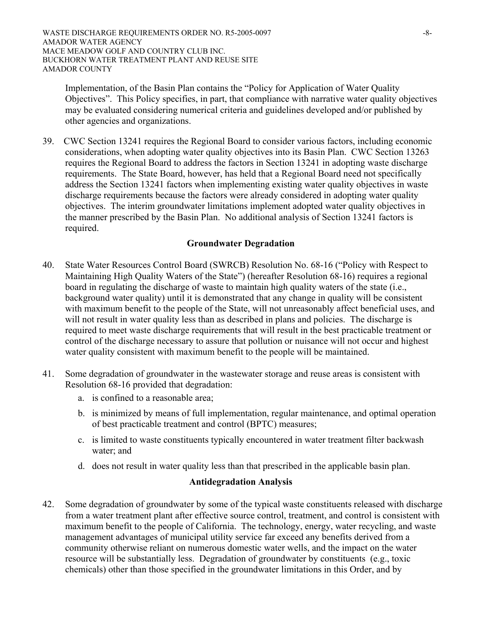Implementation, of the Basin Plan contains the "Policy for Application of Water Quality Objectives". This Policy specifies, in part, that compliance with narrative water quality objectives may be evaluated considering numerical criteria and guidelines developed and/or published by other agencies and organizations.

39. CWC Section 13241 requires the Regional Board to consider various factors, including economic considerations, when adopting water quality objectives into its Basin Plan. CWC Section 13263 requires the Regional Board to address the factors in Section 13241 in adopting waste discharge requirements. The State Board, however, has held that a Regional Board need not specifically address the Section 13241 factors when implementing existing water quality objectives in waste discharge requirements because the factors were already considered in adopting water quality objectives. The interim groundwater limitations implement adopted water quality objectives in the manner prescribed by the Basin Plan. No additional analysis of Section 13241 factors is required.

# **Groundwater Degradation**

- 40. State Water Resources Control Board (SWRCB) Resolution No. 68-16 ("Policy with Respect to Maintaining High Quality Waters of the State") (hereafter Resolution 68-16) requires a regional board in regulating the discharge of waste to maintain high quality waters of the state (i.e., background water quality) until it is demonstrated that any change in quality will be consistent with maximum benefit to the people of the State, will not unreasonably affect beneficial uses, and will not result in water quality less than as described in plans and policies. The discharge is required to meet waste discharge requirements that will result in the best practicable treatment or control of the discharge necessary to assure that pollution or nuisance will not occur and highest water quality consistent with maximum benefit to the people will be maintained.
- 41. Some degradation of groundwater in the wastewater storage and reuse areas is consistent with Resolution 68-16 provided that degradation:
	- a. is confined to a reasonable area;
	- b. is minimized by means of full implementation, regular maintenance, and optimal operation of best practicable treatment and control (BPTC) measures;
	- c. is limited to waste constituents typically encountered in water treatment filter backwash water; and
	- d. does not result in water quality less than that prescribed in the applicable basin plan.

## **Antidegradation Analysis**

42. Some degradation of groundwater by some of the typical waste constituents released with discharge from a water treatment plant after effective source control, treatment, and control is consistent with maximum benefit to the people of California. The technology, energy, water recycling, and waste management advantages of municipal utility service far exceed any benefits derived from a community otherwise reliant on numerous domestic water wells, and the impact on the water resource will be substantially less. Degradation of groundwater by constituents (e.g., toxic chemicals) other than those specified in the groundwater limitations in this Order, and by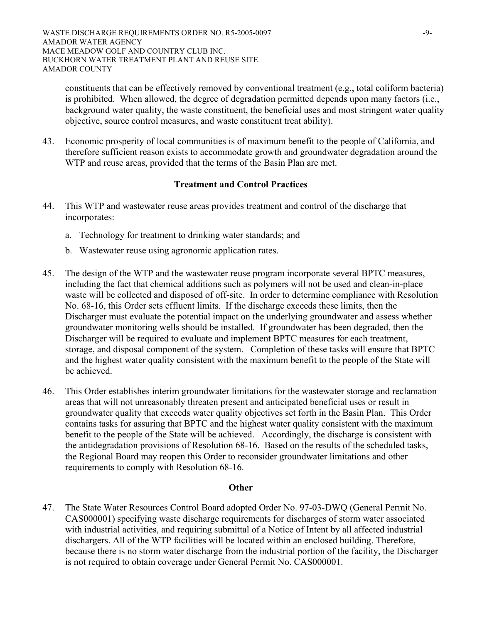constituents that can be effectively removed by conventional treatment (e.g., total coliform bacteria) is prohibited. When allowed, the degree of degradation permitted depends upon many factors (i.e., background water quality, the waste constituent, the beneficial uses and most stringent water quality objective, source control measures, and waste constituent treat ability).

43. Economic prosperity of local communities is of maximum benefit to the people of California, and therefore sufficient reason exists to accommodate growth and groundwater degradation around the WTP and reuse areas, provided that the terms of the Basin Plan are met.

## **Treatment and Control Practices**

- 44. This WTP and wastewater reuse areas provides treatment and control of the discharge that incorporates:
	- a. Technology for treatment to drinking water standards; and
	- b. Wastewater reuse using agronomic application rates.
- 45. The design of the WTP and the wastewater reuse program incorporate several BPTC measures, including the fact that chemical additions such as polymers will not be used and clean-in-place waste will be collected and disposed of off-site. In order to determine compliance with Resolution No. 68-16, this Order sets effluent limits. If the discharge exceeds these limits, then the Discharger must evaluate the potential impact on the underlying groundwater and assess whether groundwater monitoring wells should be installed. If groundwater has been degraded, then the Discharger will be required to evaluate and implement BPTC measures for each treatment, storage, and disposal component of the system. Completion of these tasks will ensure that BPTC and the highest water quality consistent with the maximum benefit to the people of the State will be achieved.
- 46. This Order establishes interim groundwater limitations for the wastewater storage and reclamation areas that will not unreasonably threaten present and anticipated beneficial uses or result in groundwater quality that exceeds water quality objectives set forth in the Basin Plan. This Order contains tasks for assuring that BPTC and the highest water quality consistent with the maximum benefit to the people of the State will be achieved. Accordingly, the discharge is consistent with the antidegradation provisions of Resolution 68-16. Based on the results of the scheduled tasks, the Regional Board may reopen this Order to reconsider groundwater limitations and other requirements to comply with Resolution 68-16.

## **Other**

47. The State Water Resources Control Board adopted Order No. 97-03-DWQ (General Permit No. CAS000001) specifying waste discharge requirements for discharges of storm water associated with industrial activities, and requiring submittal of a Notice of Intent by all affected industrial dischargers. All of the WTP facilities will be located within an enclosed building. Therefore, because there is no storm water discharge from the industrial portion of the facility, the Discharger is not required to obtain coverage under General Permit No. CAS000001.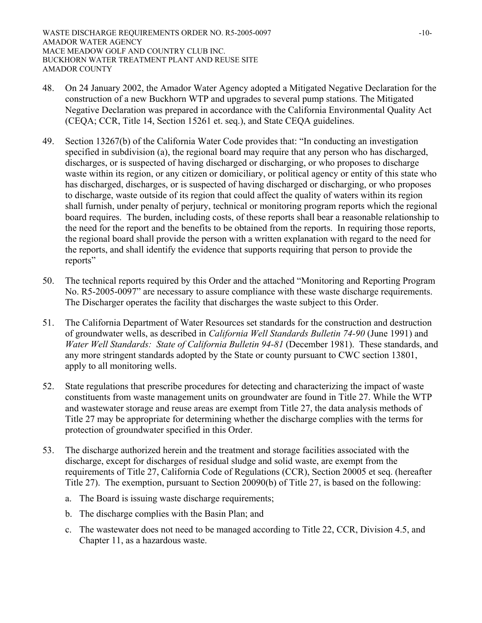- 48. On 24 January 2002, the Amador Water Agency adopted a Mitigated Negative Declaration for the construction of a new Buckhorn WTP and upgrades to several pump stations. The Mitigated Negative Declaration was prepared in accordance with the California Environmental Quality Act (CEQA; CCR, Title 14, Section 15261 et. seq.), and State CEQA guidelines.
- 49. Section 13267(b) of the California Water Code provides that: "In conducting an investigation specified in subdivision (a), the regional board may require that any person who has discharged, discharges, or is suspected of having discharged or discharging, or who proposes to discharge waste within its region, or any citizen or domiciliary, or political agency or entity of this state who has discharged, discharges, or is suspected of having discharged or discharging, or who proposes to discharge, waste outside of its region that could affect the quality of waters within its region shall furnish, under penalty of perjury, technical or monitoring program reports which the regional board requires. The burden, including costs, of these reports shall bear a reasonable relationship to the need for the report and the benefits to be obtained from the reports. In requiring those reports, the regional board shall provide the person with a written explanation with regard to the need for the reports, and shall identify the evidence that supports requiring that person to provide the reports"
- 50. The technical reports required by this Order and the attached "Monitoring and Reporting Program No. R5-2005-0097" are necessary to assure compliance with these waste discharge requirements. The Discharger operates the facility that discharges the waste subject to this Order.
- 51. The California Department of Water Resources set standards for the construction and destruction of groundwater wells, as described in *California Well Standards Bulletin 74-90* (June 1991) and *Water Well Standards: State of California Bulletin 94-81* (December 1981). These standards, and any more stringent standards adopted by the State or county pursuant to CWC section 13801, apply to all monitoring wells.
- 52. State regulations that prescribe procedures for detecting and characterizing the impact of waste constituents from waste management units on groundwater are found in Title 27. While the WTP and wastewater storage and reuse areas are exempt from Title 27, the data analysis methods of Title 27 may be appropriate for determining whether the discharge complies with the terms for protection of groundwater specified in this Order.
- 53. The discharge authorized herein and the treatment and storage facilities associated with the discharge, except for discharges of residual sludge and solid waste, are exempt from the requirements of Title 27, California Code of Regulations (CCR), Section 20005 et seq. (hereafter Title 27). The exemption, pursuant to Section 20090(b) of Title 27, is based on the following:
	- a. The Board is issuing waste discharge requirements;
	- b. The discharge complies with the Basin Plan; and
	- c. The wastewater does not need to be managed according to Title 22, CCR, Division 4.5, and Chapter 11, as a hazardous waste.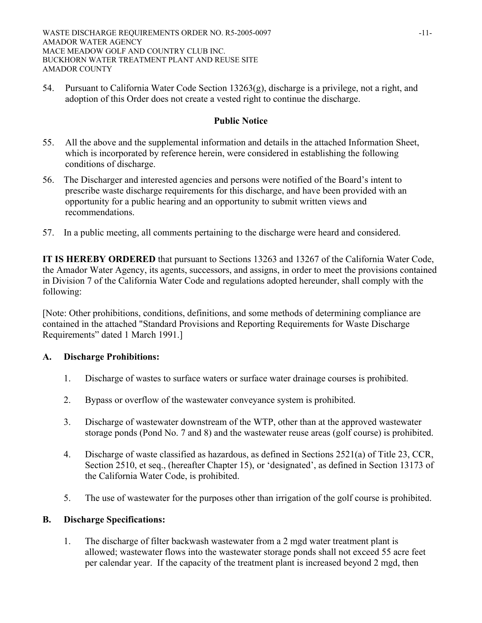54. Pursuant to California Water Code Section 13263(g), discharge is a privilege, not a right, and adoption of this Order does not create a vested right to continue the discharge.

# **Public Notice**

- 55. All the above and the supplemental information and details in the attached Information Sheet, which is incorporated by reference herein, were considered in establishing the following conditions of discharge.
- 56. The Discharger and interested agencies and persons were notified of the Board's intent to prescribe waste discharge requirements for this discharge, and have been provided with an opportunity for a public hearing and an opportunity to submit written views and recommendations.
- 57. In a public meeting, all comments pertaining to the discharge were heard and considered.

**IT IS HEREBY ORDERED** that pursuant to Sections 13263 and 13267 of the California Water Code, the Amador Water Agency, its agents, successors, and assigns, in order to meet the provisions contained in Division 7 of the California Water Code and regulations adopted hereunder, shall comply with the following:

[Note: Other prohibitions, conditions, definitions, and some methods of determining compliance are contained in the attached "Standard Provisions and Reporting Requirements for Waste Discharge Requirements" dated 1 March 1991.]

# **A. Discharge Prohibitions:**

- 1. Discharge of wastes to surface waters or surface water drainage courses is prohibited.
- 2. Bypass or overflow of the wastewater conveyance system is prohibited.
- 3. Discharge of wastewater downstream of the WTP, other than at the approved wastewater storage ponds (Pond No. 7 and 8) and the wastewater reuse areas (golf course) is prohibited.
- 4. Discharge of waste classified as hazardous, as defined in Sections 2521(a) of Title 23, CCR, Section 2510, et seq., (hereafter Chapter 15), or 'designated', as defined in Section 13173 of the California Water Code, is prohibited.
- 5. The use of wastewater for the purposes other than irrigation of the golf course is prohibited.

# **B. Discharge Specifications:**

1. The discharge of filter backwash wastewater from a 2 mgd water treatment plant is allowed; wastewater flows into the wastewater storage ponds shall not exceed 55 acre feet per calendar year. If the capacity of the treatment plant is increased beyond 2 mgd, then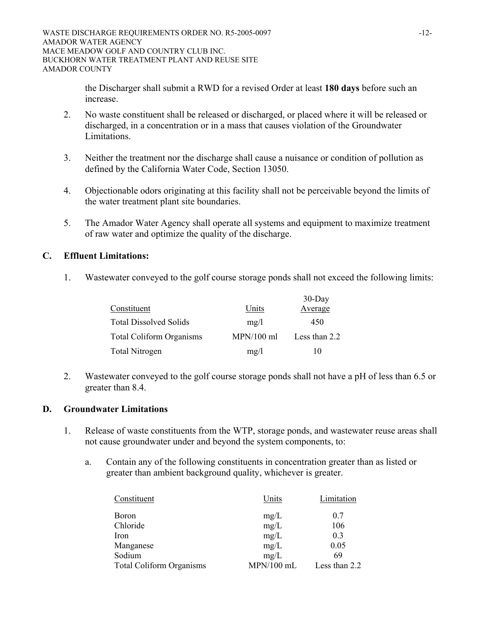the Discharger shall submit a RWD for a revised Order at least **180 days** before such an increase.

- 2. No waste constituent shall be released or discharged, or placed where it will be released or discharged, in a concentration or in a mass that causes violation of the Groundwater Limitations.
- 3. Neither the treatment nor the discharge shall cause a nuisance or condition of pollution as defined by the California Water Code, Section 13050.
- 4. Objectionable odors originating at this facility shall not be perceivable beyond the limits of the water treatment plant site boundaries.
- 5. The Amador Water Agency shall operate all systems and equipment to maximize treatment of raw water and optimize the quality of the discharge.

# **C. Effluent Limitations:**

1. Wastewater conveyed to the golf course storage ponds shall not exceed the following limits:

|                                 |              | $30$ -Day     |
|---------------------------------|--------------|---------------|
| Constituent                     | Units        | Average       |
| <b>Total Dissolved Solids</b>   | mg/l         | 450           |
| <b>Total Coliform Organisms</b> | $MPN/100$ ml | Less than 2.2 |
| <b>Total Nitrogen</b>           | mg/l         | 10            |

2. Wastewater conveyed to the golf course storage ponds shall not have a pH of less than 6.5 or greater than 8.4.

## **D. Groundwater Limitations**

- 1. Release of waste constituents from the WTP, storage ponds, and wastewater reuse areas shall not cause groundwater under and beyond the system components, to:
	- a. Contain any of the following constituents in concentration greater than as listed or greater than ambient background quality, whichever is greater.

| Constituent                     | Units        | Limitation    |
|---------------------------------|--------------|---------------|
| Boron                           | mg/L         | 0.7           |
| Chloride                        | mg/L         | 106           |
| Iron                            | mg/L         | 0.3           |
| Manganese                       | mg/L         | 0.05          |
| Sodium                          | mg/L         | 69            |
| <b>Total Coliform Organisms</b> | $MPN/100$ mL | Less than 2.2 |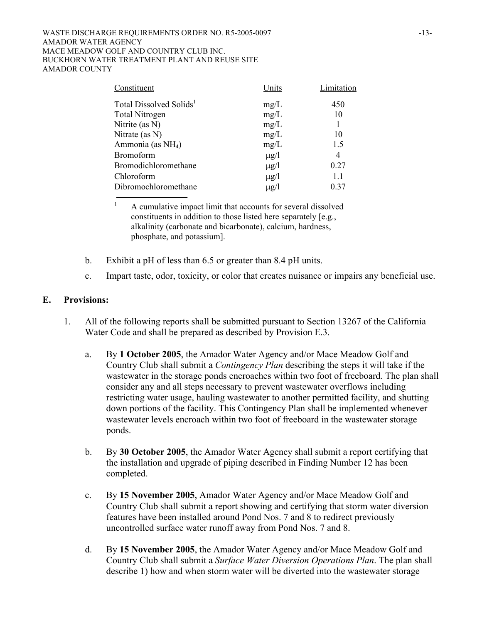### WASTE DISCHARGE REQUIREMENTS ORDER NO. R5-2005-0097 -13-AMADOR WATER AGENCY MACE MEADOW GOLF AND COUNTRY CLUB INC. BUCKHORN WATER TREATMENT PLANT AND REUSE SITE AMADOR COUNTY

| Units     | Limitation |
|-----------|------------|
| mg/L      | 450        |
| mg/L      | 10         |
| mg/L      |            |
| mg/L      | 10         |
| mg/L      | 1.5        |
| $\mu$ g/l | 4          |
| $\mu$ g/l | 0.27       |
| $\mu$ g/l | 1.1        |
| $\mu$ g/l | 0.37       |
|           |            |

 A cumulative impact limit that accounts for several dissolved constituents in addition to those listed here separately [e.g., alkalinity (carbonate and bicarbonate), calcium, hardness, phosphate, and potassium].

- b. Exhibit a pH of less than 6.5 or greater than 8.4 pH units.
- c. Impart taste, odor, toxicity, or color that creates nuisance or impairs any beneficial use.

## **E. Provisions:**

1

- 1. All of the following reports shall be submitted pursuant to Section 13267 of the California Water Code and shall be prepared as described by Provision E.3.
	- a. By **1 October 2005**, the Amador Water Agency and/or Mace Meadow Golf and Country Club shall submit a *Contingency Plan* describing the steps it will take if the wastewater in the storage ponds encroaches within two foot of freeboard. The plan shall consider any and all steps necessary to prevent wastewater overflows including restricting water usage, hauling wastewater to another permitted facility, and shutting down portions of the facility. This Contingency Plan shall be implemented whenever wastewater levels encroach within two foot of freeboard in the wastewater storage ponds.
	- b. By **30 October 2005**, the Amador Water Agency shall submit a report certifying that the installation and upgrade of piping described in Finding Number 12 has been completed.
	- c. By **15 November 2005**, Amador Water Agency and/or Mace Meadow Golf and Country Club shall submit a report showing and certifying that storm water diversion features have been installed around Pond Nos. 7 and 8 to redirect previously uncontrolled surface water runoff away from Pond Nos. 7 and 8.
	- d. By **15 November 2005**, the Amador Water Agency and/or Mace Meadow Golf and Country Club shall submit a *Surface Water Diversion Operations Plan*. The plan shall describe 1) how and when storm water will be diverted into the wastewater storage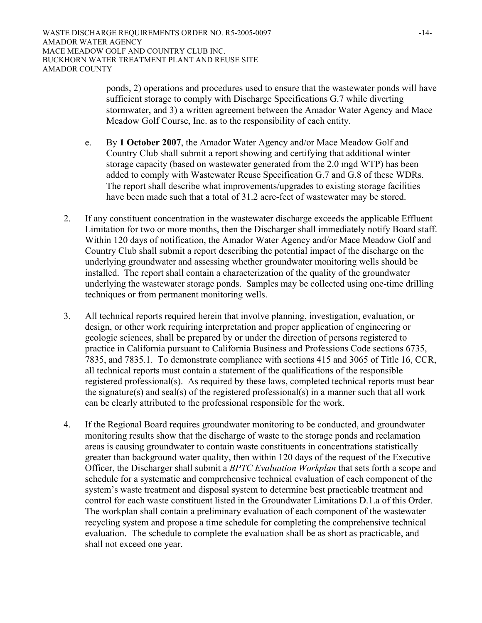ponds, 2) operations and procedures used to ensure that the wastewater ponds will have sufficient storage to comply with Discharge Specifications G.7 while diverting stormwater, and 3) a written agreement between the Amador Water Agency and Mace Meadow Golf Course, Inc. as to the responsibility of each entity.

- e. By **1 October 2007**, the Amador Water Agency and/or Mace Meadow Golf and Country Club shall submit a report showing and certifying that additional winter storage capacity (based on wastewater generated from the 2.0 mgd WTP) has been added to comply with Wastewater Reuse Specification G.7 and G.8 of these WDRs. The report shall describe what improvements/upgrades to existing storage facilities have been made such that a total of 31.2 acre-feet of wastewater may be stored.
- 2. If any constituent concentration in the wastewater discharge exceeds the applicable Effluent Limitation for two or more months, then the Discharger shall immediately notify Board staff. Within 120 days of notification, the Amador Water Agency and/or Mace Meadow Golf and Country Club shall submit a report describing the potential impact of the discharge on the underlying groundwater and assessing whether groundwater monitoring wells should be installed. The report shall contain a characterization of the quality of the groundwater underlying the wastewater storage ponds. Samples may be collected using one-time drilling techniques or from permanent monitoring wells.
- 3. All technical reports required herein that involve planning, investigation, evaluation, or design, or other work requiring interpretation and proper application of engineering or geologic sciences, shall be prepared by or under the direction of persons registered to practice in California pursuant to California Business and Professions Code sections 6735, 7835, and 7835.1. To demonstrate compliance with sections 415 and 3065 of Title 16, CCR, all technical reports must contain a statement of the qualifications of the responsible registered professional(s). As required by these laws, completed technical reports must bear the signature(s) and seal(s) of the registered professional(s) in a manner such that all work can be clearly attributed to the professional responsible for the work.
- 4. If the Regional Board requires groundwater monitoring to be conducted, and groundwater monitoring results show that the discharge of waste to the storage ponds and reclamation areas is causing groundwater to contain waste constituents in concentrations statistically greater than background water quality, then within 120 days of the request of the Executive Officer, the Discharger shall submit a *BPTC Evaluation Workplan* that sets forth a scope and schedule for a systematic and comprehensive technical evaluation of each component of the system's waste treatment and disposal system to determine best practicable treatment and control for each waste constituent listed in the Groundwater Limitations D.1.a of this Order. The workplan shall contain a preliminary evaluation of each component of the wastewater recycling system and propose a time schedule for completing the comprehensive technical evaluation. The schedule to complete the evaluation shall be as short as practicable, and shall not exceed one year.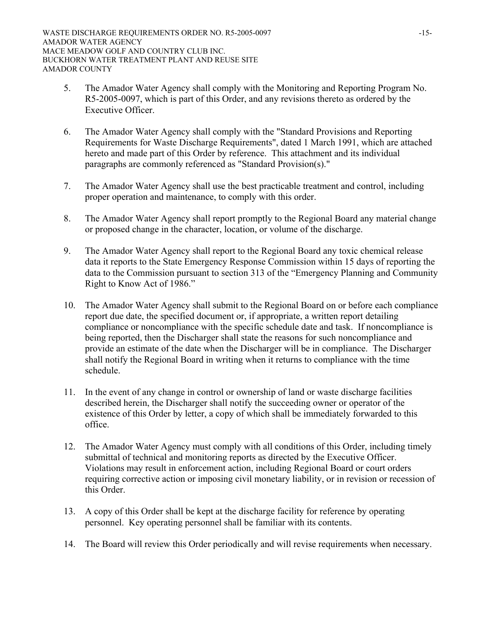- 5. The Amador Water Agency shall comply with the Monitoring and Reporting Program No. R5-2005-0097, which is part of this Order, and any revisions thereto as ordered by the Executive Officer.
- 6. The Amador Water Agency shall comply with the "Standard Provisions and Reporting Requirements for Waste Discharge Requirements", dated 1 March 1991, which are attached hereto and made part of this Order by reference. This attachment and its individual paragraphs are commonly referenced as "Standard Provision(s)."
- 7. The Amador Water Agency shall use the best practicable treatment and control, including proper operation and maintenance, to comply with this order.
- 8. The Amador Water Agency shall report promptly to the Regional Board any material change or proposed change in the character, location, or volume of the discharge.
- 9. The Amador Water Agency shall report to the Regional Board any toxic chemical release data it reports to the State Emergency Response Commission within 15 days of reporting the data to the Commission pursuant to section 313 of the "Emergency Planning and Community Right to Know Act of 1986."
- 10. The Amador Water Agency shall submit to the Regional Board on or before each compliance report due date, the specified document or, if appropriate, a written report detailing compliance or noncompliance with the specific schedule date and task. If noncompliance is being reported, then the Discharger shall state the reasons for such noncompliance and provide an estimate of the date when the Discharger will be in compliance. The Discharger shall notify the Regional Board in writing when it returns to compliance with the time schedule.
- 11. In the event of any change in control or ownership of land or waste discharge facilities described herein, the Discharger shall notify the succeeding owner or operator of the existence of this Order by letter, a copy of which shall be immediately forwarded to this office.
- 12. The Amador Water Agency must comply with all conditions of this Order, including timely submittal of technical and monitoring reports as directed by the Executive Officer. Violations may result in enforcement action, including Regional Board or court orders requiring corrective action or imposing civil monetary liability, or in revision or recession of this Order.
- 13. A copy of this Order shall be kept at the discharge facility for reference by operating personnel. Key operating personnel shall be familiar with its contents.
- 14. The Board will review this Order periodically and will revise requirements when necessary.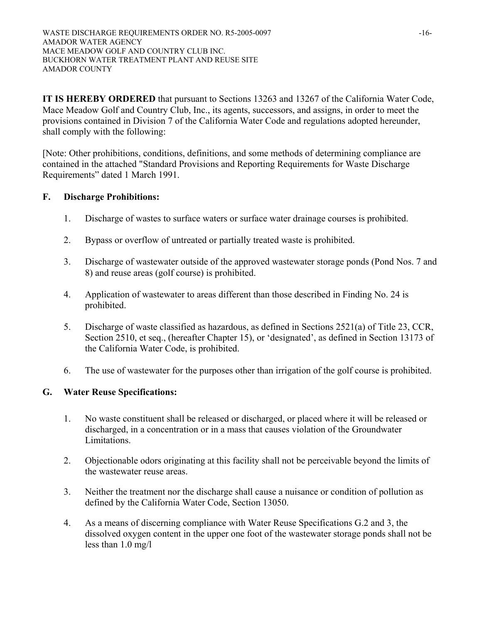**IT IS HEREBY ORDERED** that pursuant to Sections 13263 and 13267 of the California Water Code, Mace Meadow Golf and Country Club, Inc., its agents, successors, and assigns, in order to meet the provisions contained in Division 7 of the California Water Code and regulations adopted hereunder, shall comply with the following:

[Note: Other prohibitions, conditions, definitions, and some methods of determining compliance are contained in the attached "Standard Provisions and Reporting Requirements for Waste Discharge Requirements" dated 1 March 1991.

# **F. Discharge Prohibitions:**

- 1. Discharge of wastes to surface waters or surface water drainage courses is prohibited.
- 2. Bypass or overflow of untreated or partially treated waste is prohibited.
- 3. Discharge of wastewater outside of the approved wastewater storage ponds (Pond Nos. 7 and 8) and reuse areas (golf course) is prohibited.
- 4. Application of wastewater to areas different than those described in Finding No. 24 is prohibited.
- 5. Discharge of waste classified as hazardous, as defined in Sections 2521(a) of Title 23, CCR, Section 2510, et seq., (hereafter Chapter 15), or 'designated', as defined in Section 13173 of the California Water Code, is prohibited.
- 6. The use of wastewater for the purposes other than irrigation of the golf course is prohibited.

# **G. Water Reuse Specifications:**

- 1. No waste constituent shall be released or discharged, or placed where it will be released or discharged, in a concentration or in a mass that causes violation of the Groundwater Limitations.
- 2. Objectionable odors originating at this facility shall not be perceivable beyond the limits of the wastewater reuse areas.
- 3. Neither the treatment nor the discharge shall cause a nuisance or condition of pollution as defined by the California Water Code, Section 13050.
- 4. As a means of discerning compliance with Water Reuse Specifications G.2 and 3, the dissolved oxygen content in the upper one foot of the wastewater storage ponds shall not be less than 1.0 mg/l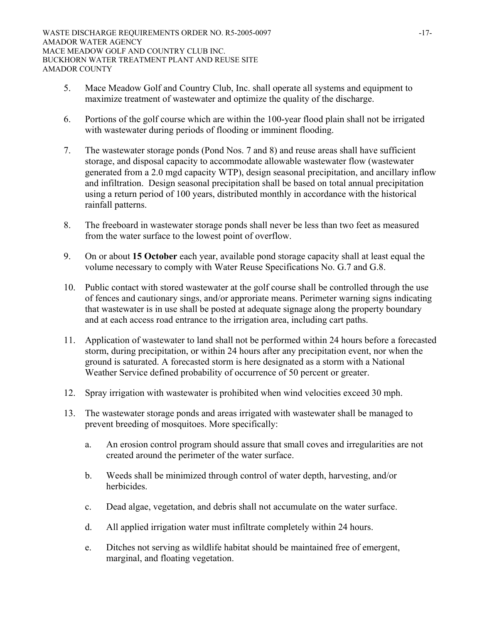- 5. Mace Meadow Golf and Country Club, Inc. shall operate all systems and equipment to maximize treatment of wastewater and optimize the quality of the discharge.
- 6. Portions of the golf course which are within the 100-year flood plain shall not be irrigated with wastewater during periods of flooding or imminent flooding.
- 7. The wastewater storage ponds (Pond Nos. 7 and 8) and reuse areas shall have sufficient storage, and disposal capacity to accommodate allowable wastewater flow (wastewater generated from a 2.0 mgd capacity WTP), design seasonal precipitation, and ancillary inflow and infiltration. Design seasonal precipitation shall be based on total annual precipitation using a return period of 100 years, distributed monthly in accordance with the historical rainfall patterns.
- 8. The freeboard in wastewater storage ponds shall never be less than two feet as measured from the water surface to the lowest point of overflow.
- 9. On or about **15 October** each year, available pond storage capacity shall at least equal the volume necessary to comply with Water Reuse Specifications No. G.7 and G.8.
- 10. Public contact with stored wastewater at the golf course shall be controlled through the use of fences and cautionary sings, and/or approriate means. Perimeter warning signs indicating that wastewater is in use shall be posted at adequate signage along the property boundary and at each access road entrance to the irrigation area, including cart paths.
- 11. Application of wastewater to land shall not be performed within 24 hours before a forecasted storm, during precipitation, or within 24 hours after any precipitation event, nor when the ground is saturated. A forecasted storm is here designated as a storm with a National Weather Service defined probability of occurrence of 50 percent or greater.
- 12. Spray irrigation with wastewater is prohibited when wind velocities exceed 30 mph.
- 13. The wastewater storage ponds and areas irrigated with wastewater shall be managed to prevent breeding of mosquitoes. More specifically:
	- a. An erosion control program should assure that small coves and irregularities are not created around the perimeter of the water surface.
	- b. Weeds shall be minimized through control of water depth, harvesting, and/or herbicides.
	- c. Dead algae, vegetation, and debris shall not accumulate on the water surface.
	- d. All applied irrigation water must infiltrate completely within 24 hours.
	- e. Ditches not serving as wildlife habitat should be maintained free of emergent, marginal, and floating vegetation.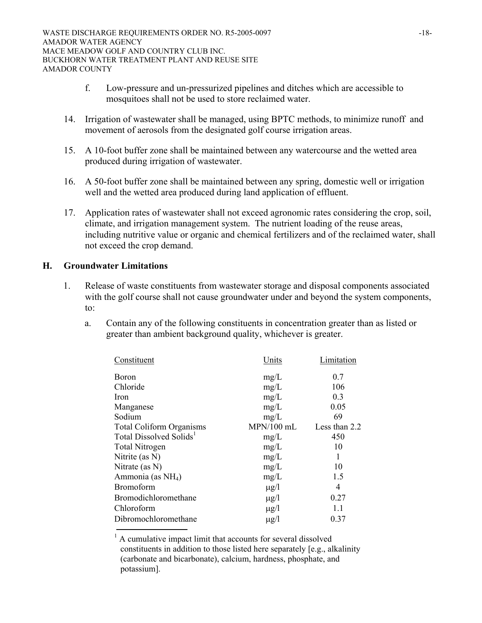- f. Low-pressure and un-pressurized pipelines and ditches which are accessible to mosquitoes shall not be used to store reclaimed water.
- 14. Irrigation of wastewater shall be managed, using BPTC methods, to minimize runoff and movement of aerosols from the designated golf course irrigation areas.
- 15. A 10-foot buffer zone shall be maintained between any watercourse and the wetted area produced during irrigation of wastewater.
- 16. A 50-foot buffer zone shall be maintained between any spring, domestic well or irrigation well and the wetted area produced during land application of effluent.
- 17. Application rates of wastewater shall not exceed agronomic rates considering the crop, soil, climate, and irrigation management system. The nutrient loading of the reuse areas, including nutritive value or organic and chemical fertilizers and of the reclaimed water, shall not exceed the crop demand.

# **H. Groundwater Limitations**

- 1. Release of waste constituents from wastewater storage and disposal components associated with the golf course shall not cause groundwater under and beyond the system components, to:
	- a. Contain any of the following constituents in concentration greater than as listed or greater than ambient background quality, whichever is greater.

| Constituent                         | Units        | Limitation    |
|-------------------------------------|--------------|---------------|
| Boron                               | mg/L         | 0.7           |
| Chloride                            | mg/L         | 106           |
| Iron                                | mg/L         | 0.3           |
| Manganese                           | mg/L         | 0.05          |
| Sodium                              | mg/L         | 69            |
| <b>Total Coliform Organisms</b>     | $MPN/100$ mL | Less than 2.2 |
| Total Dissolved Solids <sup>1</sup> | mg/L         | 450           |
| <b>Total Nitrogen</b>               | mg/L         | 10            |
| Nitrite (as N)                      | mg/L         | 1             |
| Nitrate (as N)                      | mg/L         | 10            |
| Ammonia (as NH <sub>4</sub> )       | mg/L         | 1.5           |
| <b>Bromoform</b>                    | $\mu$ g/l    | 4             |
| Bromodichloromethane                | $\mu$ g/l    | 0.27          |
| Chloroform                          | $\mu$ g/l    | 1.1           |
| Dibromochloromethane                | $\mu$ g/l    | 0.37          |

1 A cumulative impact limit that accounts for several dissolved constituents in addition to those listed here separately [e.g., alkalinity (carbonate and bicarbonate), calcium, hardness, phosphate, and potassium].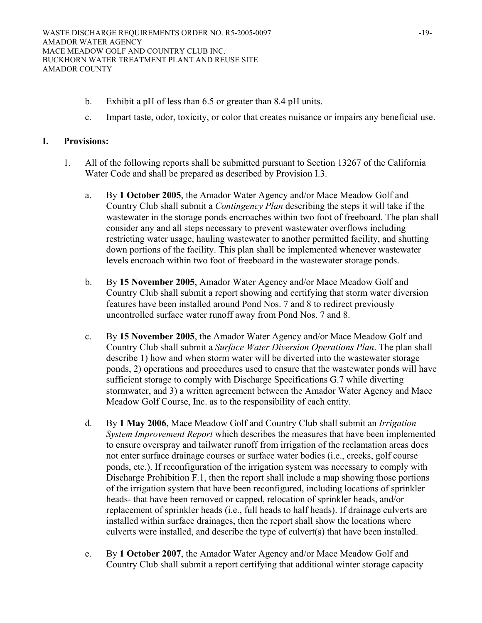- b. Exhibit a pH of less than 6.5 or greater than 8.4 pH units.
- c. Impart taste, odor, toxicity, or color that creates nuisance or impairs any beneficial use.

## **I. Provisions:**

- 1. All of the following reports shall be submitted pursuant to Section 13267 of the California Water Code and shall be prepared as described by Provision I.3.
	- a. By **1 October 2005**, the Amador Water Agency and/or Mace Meadow Golf and Country Club shall submit a *Contingency Plan* describing the steps it will take if the wastewater in the storage ponds encroaches within two foot of freeboard. The plan shall consider any and all steps necessary to prevent wastewater overflows including restricting water usage, hauling wastewater to another permitted facility, and shutting down portions of the facility. This plan shall be implemented whenever wastewater levels encroach within two foot of freeboard in the wastewater storage ponds.
	- b. By **15 November 2005**, Amador Water Agency and/or Mace Meadow Golf and Country Club shall submit a report showing and certifying that storm water diversion features have been installed around Pond Nos. 7 and 8 to redirect previously uncontrolled surface water runoff away from Pond Nos. 7 and 8.
	- c. By **15 November 2005**, the Amador Water Agency and/or Mace Meadow Golf and Country Club shall submit a *Surface Water Diversion Operations Plan*. The plan shall describe 1) how and when storm water will be diverted into the wastewater storage ponds, 2) operations and procedures used to ensure that the wastewater ponds will have sufficient storage to comply with Discharge Specifications G.7 while diverting stormwater, and 3) a written agreement between the Amador Water Agency and Mace Meadow Golf Course, Inc. as to the responsibility of each entity.
	- d. By **1 May 2006**, Mace Meadow Golf and Country Club shall submit an *Irrigation System Improvement Report* which describes the measures that have been implemented to ensure overspray and tailwater runoff from irrigation of the reclamation areas does not enter surface drainage courses or surface water bodies (i.e., creeks, golf course ponds, etc.). If reconfiguration of the irrigation system was necessary to comply with Discharge Prohibition F.1, then the report shall include a map showing those portions of the irrigation system that have been reconfigured, including locations of sprinkler heads- that have been removed or capped, relocation of sprinkler heads, and/or replacement of sprinkler heads (i.e., full heads to half heads). If drainage culverts are installed within surface drainages, then the report shall show the locations where culverts were installed, and describe the type of culvert(s) that have been installed.
	- e. By **1 October 2007**, the Amador Water Agency and/or Mace Meadow Golf and Country Club shall submit a report certifying that additional winter storage capacity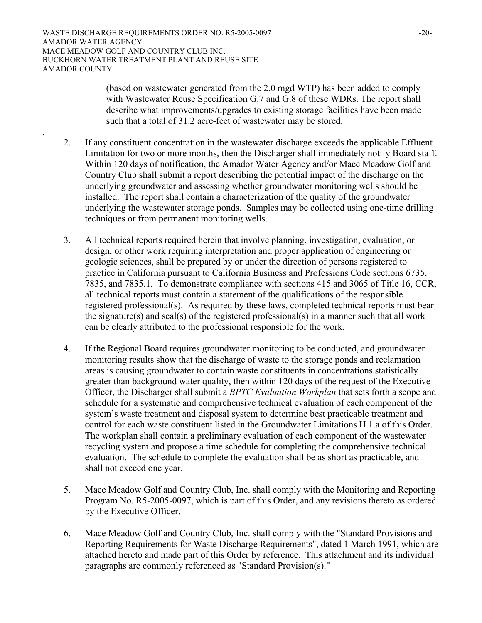.

(based on wastewater generated from the 2.0 mgd WTP) has been added to comply with Wastewater Reuse Specification G.7 and G.8 of these WDRs. The report shall describe what improvements/upgrades to existing storage facilities have been made such that a total of 31.2 acre-feet of wastewater may be stored.

- 2. If any constituent concentration in the wastewater discharge exceeds the applicable Effluent Limitation for two or more months, then the Discharger shall immediately notify Board staff. Within 120 days of notification, the Amador Water Agency and/or Mace Meadow Golf and Country Club shall submit a report describing the potential impact of the discharge on the underlying groundwater and assessing whether groundwater monitoring wells should be installed. The report shall contain a characterization of the quality of the groundwater underlying the wastewater storage ponds. Samples may be collected using one-time drilling techniques or from permanent monitoring wells.
- 3. All technical reports required herein that involve planning, investigation, evaluation, or design, or other work requiring interpretation and proper application of engineering or geologic sciences, shall be prepared by or under the direction of persons registered to practice in California pursuant to California Business and Professions Code sections 6735, 7835, and 7835.1. To demonstrate compliance with sections 415 and 3065 of Title 16, CCR, all technical reports must contain a statement of the qualifications of the responsible registered professional(s). As required by these laws, completed technical reports must bear the signature(s) and seal(s) of the registered professional(s) in a manner such that all work can be clearly attributed to the professional responsible for the work.
- 4. If the Regional Board requires groundwater monitoring to be conducted, and groundwater monitoring results show that the discharge of waste to the storage ponds and reclamation areas is causing groundwater to contain waste constituents in concentrations statistically greater than background water quality, then within 120 days of the request of the Executive Officer, the Discharger shall submit a *BPTC Evaluation Workplan* that sets forth a scope and schedule for a systematic and comprehensive technical evaluation of each component of the system's waste treatment and disposal system to determine best practicable treatment and control for each waste constituent listed in the Groundwater Limitations H.1.a of this Order. The workplan shall contain a preliminary evaluation of each component of the wastewater recycling system and propose a time schedule for completing the comprehensive technical evaluation. The schedule to complete the evaluation shall be as short as practicable, and shall not exceed one year.
- 5. Mace Meadow Golf and Country Club, Inc. shall comply with the Monitoring and Reporting Program No. R5-2005-0097, which is part of this Order, and any revisions thereto as ordered by the Executive Officer.
- 6. Mace Meadow Golf and Country Club, Inc. shall comply with the "Standard Provisions and Reporting Requirements for Waste Discharge Requirements", dated 1 March 1991, which are attached hereto and made part of this Order by reference. This attachment and its individual paragraphs are commonly referenced as "Standard Provision(s)."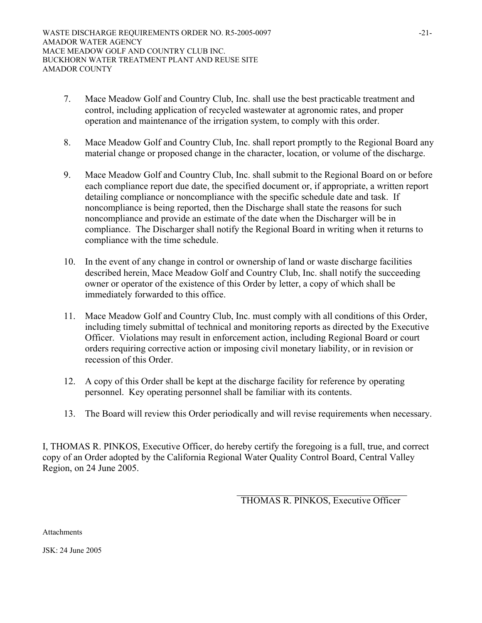- 7. Mace Meadow Golf and Country Club, Inc. shall use the best practicable treatment and control, including application of recycled wastewater at agronomic rates, and proper operation and maintenance of the irrigation system, to comply with this order.
- 8. Mace Meadow Golf and Country Club, Inc. shall report promptly to the Regional Board any material change or proposed change in the character, location, or volume of the discharge.
- 9. Mace Meadow Golf and Country Club, Inc. shall submit to the Regional Board on or before each compliance report due date, the specified document or, if appropriate, a written report detailing compliance or noncompliance with the specific schedule date and task. If noncompliance is being reported, then the Discharge shall state the reasons for such noncompliance and provide an estimate of the date when the Discharger will be in compliance. The Discharger shall notify the Regional Board in writing when it returns to compliance with the time schedule.
- 10. In the event of any change in control or ownership of land or waste discharge facilities described herein, Mace Meadow Golf and Country Club, Inc. shall notify the succeeding owner or operator of the existence of this Order by letter, a copy of which shall be immediately forwarded to this office.
- 11. Mace Meadow Golf and Country Club, Inc. must comply with all conditions of this Order, including timely submittal of technical and monitoring reports as directed by the Executive Officer. Violations may result in enforcement action, including Regional Board or court orders requiring corrective action or imposing civil monetary liability, or in revision or recession of this Order.
- 12. A copy of this Order shall be kept at the discharge facility for reference by operating personnel. Key operating personnel shall be familiar with its contents.
- 13. The Board will review this Order periodically and will revise requirements when necessary.

I, THOMAS R. PINKOS, Executive Officer, do hereby certify the foregoing is a full, true, and correct copy of an Order adopted by the California Regional Water Quality Control Board, Central Valley Region, on 24 June 2005.

THOMAS R. PINKOS, Executive Officer

**Attachments** 

JSK: 24 June 2005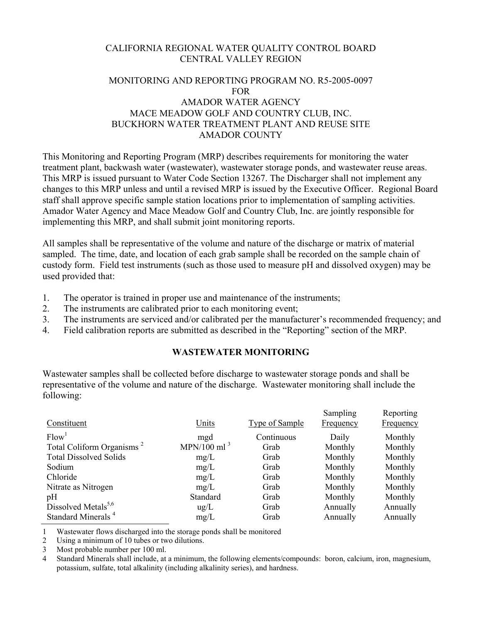# CALIFORNIA REGIONAL WATER QUALITY CONTROL BOARD CENTRAL VALLEY REGION

# MONITORING AND REPORTING PROGRAM NO. R5-2005-0097 FOR AMADOR WATER AGENCY MACE MEADOW GOLF AND COUNTRY CLUB, INC. BUCKHORN WATER TREATMENT PLANT AND REUSE SITE AMADOR COUNTY

This Monitoring and Reporting Program (MRP) describes requirements for monitoring the water treatment plant, backwash water (wastewater), wastewater storage ponds, and wastewater reuse areas. This MRP is issued pursuant to Water Code Section 13267. The Discharger shall not implement any changes to this MRP unless and until a revised MRP is issued by the Executive Officer. Regional Board staff shall approve specific sample station locations prior to implementation of sampling activities. Amador Water Agency and Mace Meadow Golf and Country Club, Inc. are jointly responsible for implementing this MRP, and shall submit joint monitoring reports.

All samples shall be representative of the volume and nature of the discharge or matrix of material sampled. The time, date, and location of each grab sample shall be recorded on the sample chain of custody form. Field test instruments (such as those used to measure pH and dissolved oxygen) may be used provided that:

- 1. The operator is trained in proper use and maintenance of the instruments;
- 2. The instruments are calibrated prior to each monitoring event;
- 3. The instruments are serviced and/or calibrated per the manufacturer's recommended frequency; and
- 4. Field calibration reports are submitted as described in the "Reporting" section of the MRP.

## **WASTEWATER MONITORING**

Wastewater samples shall be collected before discharge to wastewater storage ponds and shall be representative of the volume and nature of the discharge. Wastewater monitoring shall include the following:

|                                       |                |                       | Sampling         | Reporting        |
|---------------------------------------|----------------|-----------------------|------------------|------------------|
| Constituent                           | Units          | <b>Type of Sample</b> | <b>Frequency</b> | <b>Frequency</b> |
| Flow <sup>1</sup>                     | mgd            | Continuous            | Daily            | Monthly          |
| Total Coliform Organisms <sup>2</sup> | MPN/100 ml $3$ | Grab                  | Monthly          | Monthly          |
| <b>Total Dissolved Solids</b>         | mg/L           | Grab                  | Monthly          | Monthly          |
| Sodium                                | mg/L           | Grab                  | Monthly          | Monthly          |
| Chloride                              | mg/L           | Grab                  | Monthly          | Monthly          |
| Nitrate as Nitrogen                   | mg/L           | Grab                  | Monthly          | Monthly          |
| pH                                    | Standard       | Grab                  | Monthly          | Monthly          |
| Dissolved Metals <sup>5,6</sup>       | $\text{ug/L}$  | Grab                  | Annually         | Annually         |
| Standard Minerals <sup>4</sup>        | mg/L           | Grab                  | Annually         | Annually         |

1 Wastewater flows discharged into the storage ponds shall be monitored

2 Using a minimum of 10 tubes or two dilutions.

3 Most probable number per 100 ml.

4 Standard Minerals shall include, at a minimum, the following elements/compounds: boron, calcium, iron, magnesium, potassium, sulfate, total alkalinity (including alkalinity series), and hardness.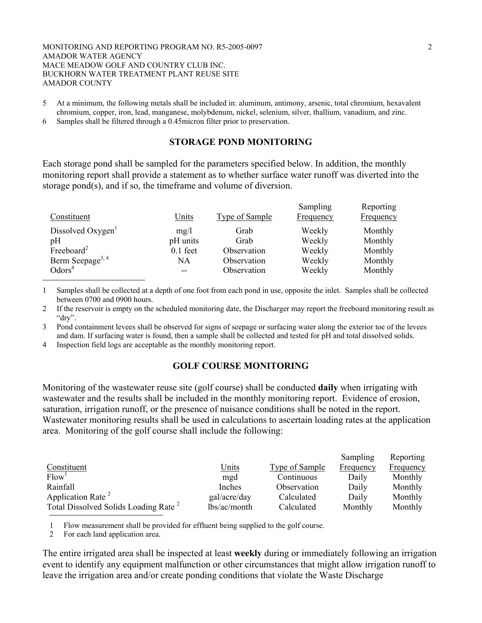#### MONITORING AND REPORTING PROGRAM NO. R5-2005-0097 2 AMADOR WATER AGENCY MACE MEADOW GOLF AND COUNTRY CLUB INC. BUCKHORN WATER TREATMENT PLANT REUSE SITE AMADOR COUNTY

- 5 At a minimum, the following metals shall be included in: aluminum, antimony, arsenic, total chromium, hexavalent chromium, copper, iron, lead, manganese, molybdenum, nickel, selenium, silver, thallium, vanadium, and zinc.
- 6 Samples shall be filtered through a 0.45micron filter prior to preservation.

## **STORAGE POND MONITORING**

Each storage pond shall be sampled for the parameters specified below. In addition, the monthly monitoring report shall provide a statement as to whether surface water runoff was diverted into the storage pond(s), and if so, the timeframe and volume of diversion.

| Constituent                  | <u>Units</u> | <b>Type of Sample</b> | Sampling<br><b>Frequency</b> | Reporting<br><b>Frequency</b> |
|------------------------------|--------------|-----------------------|------------------------------|-------------------------------|
| Dissolved Oxygen             | mg/l         | Grab                  | Weekly                       | Monthly                       |
| pH                           | pH units     | Grab                  | Weekly                       | Monthly                       |
| Freeboard <sup>2</sup>       | $0.1$ feet   | Observation           | Weekly                       | Monthly                       |
| Berm Seepage <sup>3, 4</sup> | NA           | Observation           | Weekly                       | Monthly                       |
| Odors <sup>4</sup>           | $-$          | Observation           | Weekly                       | Monthly                       |

1 Samples shall be collected at a depth of one foot from each pond in use, opposite the inlet. Samples shall be collected between 0700 and 0900 hours.

2 If the reservoir is empty on the scheduled monitoring date, the Discharger may report the freeboard monitoring result as "dry".

3 Pond containment levees shall be observed for signs of seepage or surfacing water along the exterior toe of the levees and dam. If surfacing water is found, then a sample shall be collected and tested for pH and total dissolved solids.

4 Inspection field logs are acceptable as the monthly monitoring report.

## **GOLF COURSE MONITORING**

Monitoring of the wastewater reuse site (golf course) shall be conducted **daily** when irrigating with wastewater and the results shall be included in the monthly monitoring report. Evidence of erosion, saturation, irrigation runoff, or the presence of nuisance conditions shall be noted in the report. Wastewater monitoring results shall be used in calculations to ascertain loading rates at the application area. Monitoring of the golf course shall include the following:

|                                                  |              |                | Sampling  | Reporting |
|--------------------------------------------------|--------------|----------------|-----------|-----------|
| Constituent                                      | <u>Units</u> | Type of Sample | Frequency | Frequency |
| Flow <sup>1</sup>                                | mgd          | Continuous     | Daily     | Monthly   |
| Rainfall                                         | Inches       | Observation    | Daily     | Monthly   |
| Application Rate <sup>2</sup>                    | gal/acre/day | Calculated     | Daily     | Monthly   |
| Total Dissolved Solids Loading Rate <sup>2</sup> | lbs/ac/month | Calculated     | Monthly   | Monthly   |

1 Flow measurement shall be provided for effluent being supplied to the golf course.

2 For each land application area.

The entire irrigated area shall be inspected at least **weekly** during or immediately following an irrigation event to identify any equipment malfunction or other circumstances that might allow irrigation runoff to leave the irrigation area and/or create ponding conditions that violate the Waste Discharge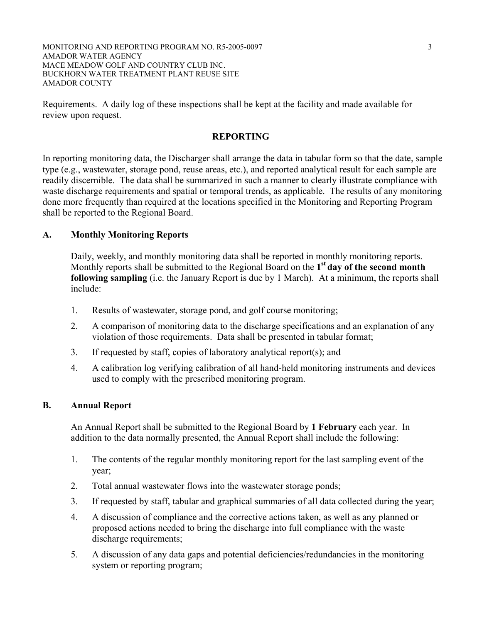MONITORING AND REPORTING PROGRAM NO. R5-2005-0097 3 AMADOR WATER AGENCY MACE MEADOW GOLF AND COUNTRY CLUB INC. BUCKHORN WATER TREATMENT PLANT REUSE SITE AMADOR COUNTY

Requirements. A daily log of these inspections shall be kept at the facility and made available for review upon request.

## **REPORTING**

In reporting monitoring data, the Discharger shall arrange the data in tabular form so that the date, sample type (e.g., wastewater, storage pond, reuse areas, etc.), and reported analytical result for each sample are readily discernible. The data shall be summarized in such a manner to clearly illustrate compliance with waste discharge requirements and spatial or temporal trends, as applicable. The results of any monitoring done more frequently than required at the locations specified in the Monitoring and Reporting Program shall be reported to the Regional Board.

## **A. Monthly Monitoring Reports**

Daily, weekly, and monthly monitoring data shall be reported in monthly monitoring reports. Monthly reports shall be submitted to the Regional Board on the **1st day of the second month following sampling** (i.e. the January Report is due by 1 March). At a minimum, the reports shall include:

- 1. Results of wastewater, storage pond, and golf course monitoring;
- 2. A comparison of monitoring data to the discharge specifications and an explanation of any violation of those requirements. Data shall be presented in tabular format;
- 3. If requested by staff, copies of laboratory analytical report(s); and
- 4. A calibration log verifying calibration of all hand-held monitoring instruments and devices used to comply with the prescribed monitoring program.

## **B. Annual Report**

An Annual Report shall be submitted to the Regional Board by **1 February** each year. In addition to the data normally presented, the Annual Report shall include the following:

- 1. The contents of the regular monthly monitoring report for the last sampling event of the year;
- 2. Total annual wastewater flows into the wastewater storage ponds;
- 3. If requested by staff, tabular and graphical summaries of all data collected during the year;
- 4. A discussion of compliance and the corrective actions taken, as well as any planned or proposed actions needed to bring the discharge into full compliance with the waste discharge requirements;
- 5. A discussion of any data gaps and potential deficiencies/redundancies in the monitoring system or reporting program;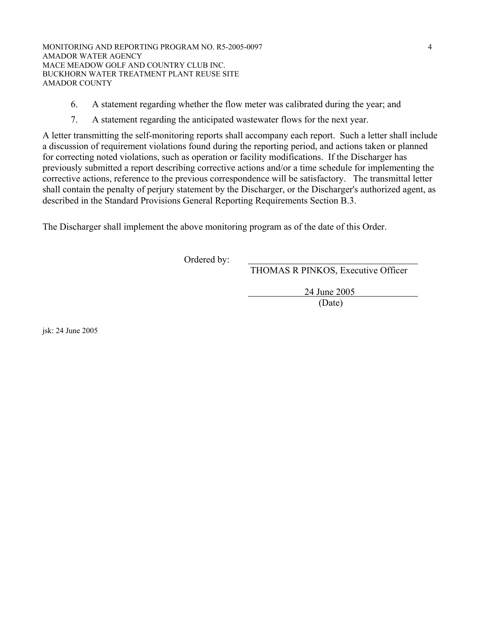MONITORING AND REPORTING PROGRAM NO. R5-2005-0097 4 AMADOR WATER AGENCY MACE MEADOW GOLF AND COUNTRY CLUB INC. BUCKHORN WATER TREATMENT PLANT REUSE SITE AMADOR COUNTY

- 6. A statement regarding whether the flow meter was calibrated during the year; and
- 7. A statement regarding the anticipated wastewater flows for the next year.

A letter transmitting the self-monitoring reports shall accompany each report. Such a letter shall include a discussion of requirement violations found during the reporting period, and actions taken or planned for correcting noted violations, such as operation or facility modifications. If the Discharger has previously submitted a report describing corrective actions and/or a time schedule for implementing the corrective actions, reference to the previous correspondence will be satisfactory. The transmittal letter shall contain the penalty of perjury statement by the Discharger, or the Discharger's authorized agent, as described in the Standard Provisions General Reporting Requirements Section B.3.

The Discharger shall implement the above monitoring program as of the date of this Order.

Ordered by:

THOMAS R PINKOS, Executive Officer

24 June 2005

(Date)

jsk: 24 June 2005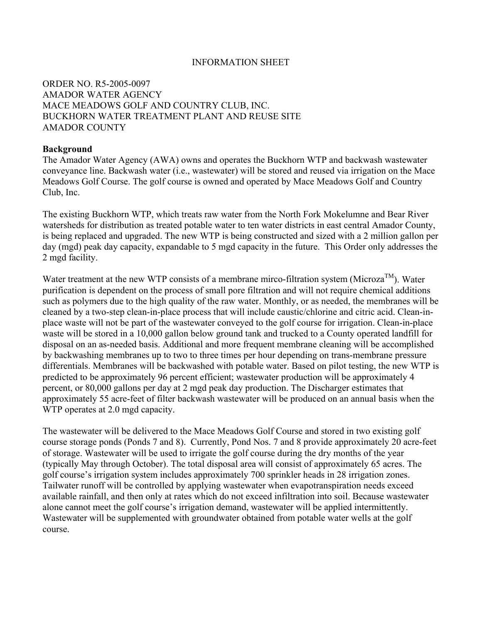## INFORMATION SHEET

# ORDER NO. R5-2005-0097 AMADOR WATER AGENCY MACE MEADOWS GOLF AND COUNTRY CLUB, INC. BUCKHORN WATER TREATMENT PLANT AND REUSE SITE AMADOR COUNTY

## **Background**

The Amador Water Agency (AWA) owns and operates the Buckhorn WTP and backwash wastewater conveyance line. Backwash water (i.e., wastewater) will be stored and reused via irrigation on the Mace Meadows Golf Course. The golf course is owned and operated by Mace Meadows Golf and Country Club, Inc.

The existing Buckhorn WTP, which treats raw water from the North Fork Mokelumne and Bear River watersheds for distribution as treated potable water to ten water districts in east central Amador County, is being replaced and upgraded. The new WTP is being constructed and sized with a 2 million gallon per day (mgd) peak day capacity, expandable to 5 mgd capacity in the future. This Order only addresses the 2 mgd facility.

Water treatment at the new WTP consists of a membrane mirco-filtration system (Microza<sup>TM</sup>). Water purification is dependent on the process of small pore filtration and will not require chemical additions such as polymers due to the high quality of the raw water. Monthly, or as needed, the membranes will be cleaned by a two-step clean-in-place process that will include caustic/chlorine and citric acid. Clean-inplace waste will not be part of the wastewater conveyed to the golf course for irrigation. Clean-in-place waste will be stored in a 10,000 gallon below ground tank and trucked to a County operated landfill for disposal on an as-needed basis. Additional and more frequent membrane cleaning will be accomplished by backwashing membranes up to two to three times per hour depending on trans-membrane pressure differentials. Membranes will be backwashed with potable water. Based on pilot testing, the new WTP is predicted to be approximately 96 percent efficient; wastewater production will be approximately 4 percent, or 80,000 gallons per day at 2 mgd peak day production. The Discharger estimates that approximately 55 acre-feet of filter backwash wastewater will be produced on an annual basis when the WTP operates at 2.0 mgd capacity.

The wastewater will be delivered to the Mace Meadows Golf Course and stored in two existing golf course storage ponds (Ponds 7 and 8). Currently, Pond Nos. 7 and 8 provide approximately 20 acre-feet of storage. Wastewater will be used to irrigate the golf course during the dry months of the year (typically May through October). The total disposal area will consist of approximately 65 acres. The golf course's irrigation system includes approximately 700 sprinkler heads in 28 irrigation zones. Tailwater runoff will be controlled by applying wastewater when evapotranspiration needs exceed available rainfall, and then only at rates which do not exceed infiltration into soil. Because wastewater alone cannot meet the golf course's irrigation demand, wastewater will be applied intermittently. Wastewater will be supplemented with groundwater obtained from potable water wells at the golf course.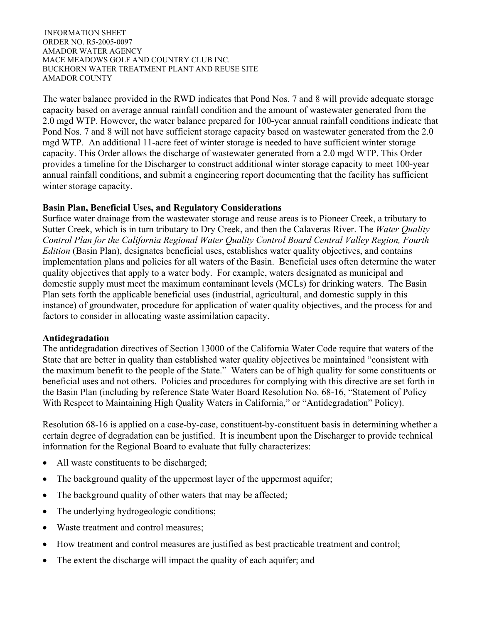The water balance provided in the RWD indicates that Pond Nos. 7 and 8 will provide adequate storage capacity based on average annual rainfall condition and the amount of wastewater generated from the 2.0 mgd WTP. However, the water balance prepared for 100-year annual rainfall conditions indicate that Pond Nos. 7 and 8 will not have sufficient storage capacity based on wastewater generated from the 2.0 mgd WTP. An additional 11-acre feet of winter storage is needed to have sufficient winter storage capacity. This Order allows the discharge of wastewater generated from a 2.0 mgd WTP. This Order provides a timeline for the Discharger to construct additional winter storage capacity to meet 100-year annual rainfall conditions, and submit a engineering report documenting that the facility has sufficient winter storage capacity.

# **Basin Plan, Beneficial Uses, and Regulatory Considerations**

Surface water drainage from the wastewater storage and reuse areas is to Pioneer Creek, a tributary to Sutter Creek, which is in turn tributary to Dry Creek, and then the Calaveras River. The *Water Quality Control Plan for the California Regional Water Quality Control Board Central Valley Region, Fourth Edition* (Basin Plan), designates beneficial uses, establishes water quality objectives, and contains implementation plans and policies for all waters of the Basin. Beneficial uses often determine the water quality objectives that apply to a water body. For example, waters designated as municipal and domestic supply must meet the maximum contaminant levels (MCLs) for drinking waters. The Basin Plan sets forth the applicable beneficial uses (industrial, agricultural, and domestic supply in this instance) of groundwater, procedure for application of water quality objectives, and the process for and factors to consider in allocating waste assimilation capacity.

## **Antidegradation**

The antidegradation directives of Section 13000 of the California Water Code require that waters of the State that are better in quality than established water quality objectives be maintained "consistent with the maximum benefit to the people of the State." Waters can be of high quality for some constituents or beneficial uses and not others. Policies and procedures for complying with this directive are set forth in the Basin Plan (including by reference State Water Board Resolution No. 68-16, "Statement of Policy With Respect to Maintaining High Quality Waters in California," or "Antidegradation" Policy).

Resolution 68-16 is applied on a case-by-case, constituent-by-constituent basis in determining whether a certain degree of degradation can be justified. It is incumbent upon the Discharger to provide technical information for the Regional Board to evaluate that fully characterizes:

- All waste constituents to be discharged;
- The background quality of the uppermost layer of the uppermost aquifer;
- The background quality of other waters that may be affected;
- The underlying hydrogeologic conditions;
- Waste treatment and control measures;
- How treatment and control measures are justified as best practicable treatment and control;
- The extent the discharge will impact the quality of each aquifer; and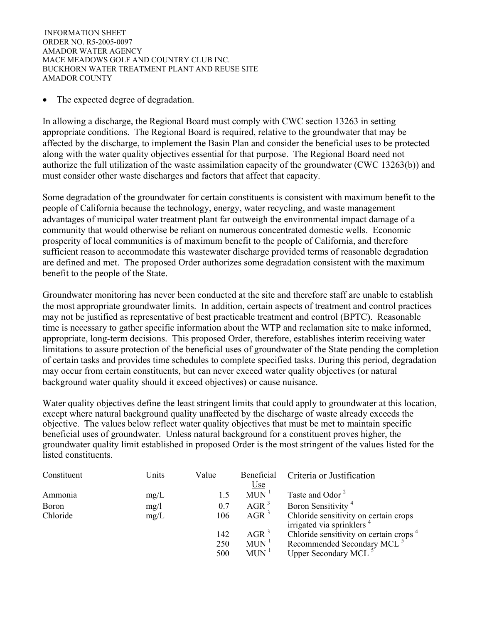The expected degree of degradation.

In allowing a discharge, the Regional Board must comply with CWC section 13263 in setting appropriate conditions. The Regional Board is required, relative to the groundwater that may be affected by the discharge, to implement the Basin Plan and consider the beneficial uses to be protected along with the water quality objectives essential for that purpose. The Regional Board need not authorize the full utilization of the waste assimilation capacity of the groundwater (CWC 13263(b)) and must consider other waste discharges and factors that affect that capacity.

Some degradation of the groundwater for certain constituents is consistent with maximum benefit to the people of California because the technology, energy, water recycling, and waste management advantages of municipal water treatment plant far outweigh the environmental impact damage of a community that would otherwise be reliant on numerous concentrated domestic wells. Economic prosperity of local communities is of maximum benefit to the people of California, and therefore sufficient reason to accommodate this wastewater discharge provided terms of reasonable degradation are defined and met. The proposed Order authorizes some degradation consistent with the maximum benefit to the people of the State.

Groundwater monitoring has never been conducted at the site and therefore staff are unable to establish the most appropriate groundwater limits. In addition, certain aspects of treatment and control practices may not be justified as representative of best practicable treatment and control (BPTC). Reasonable time is necessary to gather specific information about the WTP and reclamation site to make informed, appropriate, long-term decisions. This proposed Order, therefore, establishes interim receiving water limitations to assure protection of the beneficial uses of groundwater of the State pending the completion of certain tasks and provides time schedules to complete specified tasks. During this period, degradation may occur from certain constituents, but can never exceed water quality objectives (or natural background water quality should it exceed objectives) or cause nuisance.

Water quality objectives define the least stringent limits that could apply to groundwater at this location, except where natural background quality unaffected by the discharge of waste already exceeds the objective. The values below reflect water quality objectives that must be met to maintain specific beneficial uses of groundwater. Unless natural background for a constituent proves higher, the groundwater quality limit established in proposed Order is the most stringent of the values listed for the listed constituents.

| Constituent  | Units | Value | Beneficial         | Criteria or Justification                                                      |
|--------------|-------|-------|--------------------|--------------------------------------------------------------------------------|
|              |       |       | <u>Use</u>         |                                                                                |
| Ammonia      | mg/L  |       | $MUN$ <sup>1</sup> | Taste and Odor <sup>2</sup>                                                    |
| <b>Boron</b> | mg/l  | 0.7   | AGR <sup>3</sup>   | Boron Sensitivity <sup>4</sup>                                                 |
| Chloride     | mg/L  | 106   | AGR <sup>3</sup>   | Chloride sensitivity on certain crops<br>irrigated via sprinklers <sup>4</sup> |
|              |       | 142   | AGR <sup>3</sup>   | Chloride sensitivity on certain crops <sup>4</sup>                             |
|              |       | 250   | $MUN$ <sup>1</sup> | Recommended Secondary MCL <sup>5</sup>                                         |
|              |       | 500   | $MUN$ <sup>1</sup> | Upper Secondary MCL <sup>5</sup>                                               |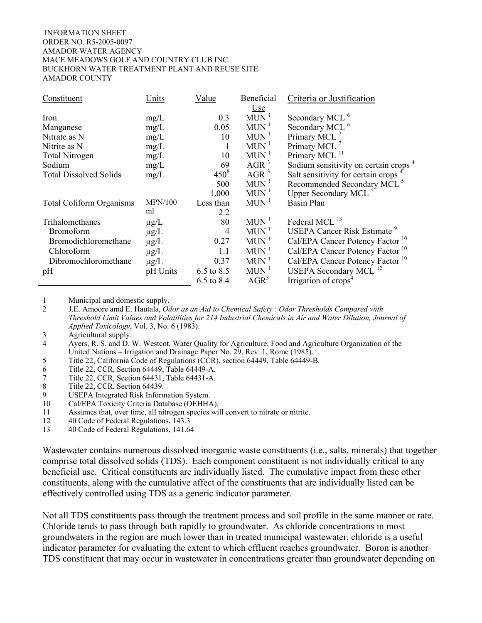| Constituent                     | Units     | Value            | Beneficial         | Criteria or Justification                        |
|---------------------------------|-----------|------------------|--------------------|--------------------------------------------------|
|                                 |           |                  | <u>Use</u>         |                                                  |
| Iron                            | mg/L      | 0.3              | $MUN$ <sup>1</sup> | Secondary MCL <sup>6</sup>                       |
| Manganese                       | mg/L      | 0.05             | $MUN$ <sup>1</sup> | Secondary MCL <sup>6</sup>                       |
| Nitrate as N                    | mg/L      | 10               | $MUN$ <sup>1</sup> | Primary MCL <sup>7</sup>                         |
| Nitrite as N                    | mg/L      |                  | $MUN$ <sup>1</sup> | Primary MCL <sup>7</sup>                         |
| <b>Total Nitrogen</b>           | mg/L      | 10               | $MUN$ <sup>1</sup> | Primary MCL <sup>11</sup>                        |
| Sodium                          | mg/L      | 69               | AGR <sup>3</sup>   | Sodium sensitivity on certain crops <sup>4</sup> |
| <b>Total Dissolved Solids</b>   | mg/L      | 450 <sup>8</sup> | $AGR^3$            | Salt sensitivity for certain crops               |
|                                 |           | 500              | $MUN$ <sup>1</sup> | Recommended Secondary MCL <sup>5</sup>           |
|                                 |           | 1,000            | $MUN$ <sup>1</sup> | Upper Secondary MCL <sup>5</sup>                 |
| <b>Total Coliform Organisms</b> | MPN/100   | Less than        | $MUN$ <sup>1</sup> | <b>Basin Plan</b>                                |
|                                 | ml        | 2.2              |                    |                                                  |
| Trihalomethanes                 | $\mu$ g/L | 80               | $MUN$ <sup>1</sup> | Federal MCL <sup>13</sup>                        |
| <b>Bromoform</b>                | $\mu$ g/L | 4                | $MUN$ <sup>1</sup> | <b>USEPA Cancer Risk Estimate<sup>9</sup></b>    |
| Bromodichloromethane            | $\mu$ g/L | 0.27             | $MUN$ <sup>1</sup> | Cal/EPA Cancer Potency Factor <sup>10</sup>      |
| Chloroform                      | $\mu$ g/L | 1.1              | $MUN$ <sup>1</sup> | Cal/EPA Cancer Potency Factor <sup>10</sup>      |
| Dibromochloromethane            | $\mu$ g/L | 0.37             | $MUN$ <sup>1</sup> | Cal/EPA Cancer Potency Factor <sup>10</sup>      |
| pH                              | pH Units  | 6.5 to 8.5       | $MUN$ <sup>1</sup> | USEPA Secondary MCL <sup>12</sup>                |
|                                 |           | 6.5 to 8.4       | $AGR^3$            | Irrigation of crops <sup>4</sup>                 |

1 Municipal and domestic supply.

2 J.E. Amoore amd E. Hautala, *Odor as an Aid to Chemical Safety : Odor Thresholds Compared with Threshold Limit Values and Volatilities for 214 Industrial Chemicals in Air and Water Dilution, Journal of Applied Toxicology*, Vol. 3, No. 6 (1983).

4 Ayers, R. S. and D. W. Westcot, Water Quality for Agriculture, Food and Agriculture Organization of the United Nations – Irrigation and Drainage Paper No. 29, Rev. 1, Rome (1985).

- 5 Title 22, California Code of Regulations (CCR), section 64449, Table 64449-B.
- 6 Title 22, CCR, Section 64449, Table 64449-A.
- 7 Title 22, CCR, Section 64431, Table 64431-A.
- 8 Title 22, CCR, Section 64439.<br>9 USEPA Integrated Risk Inform
- USEPA Integrated Risk Information System.
- 10 Cal/EPA Toxicity Criteria Database (OEHHA).
- 11 Assumes that, over time, all nitrogen species will convert to nitrate or nitrite.
- 12 40 Code of Federal Regulations, 143.3
- 13 40 Code of Federal Regulations, 141.64

Wastewater contains numerous dissolved inorganic waste constituents (i.e., salts, minerals) that together comprise total dissolved solids (TDS). Each component constituent is not individually critical to any beneficial use. Critical constituents are individually listed. The cumulative impact from these other constituents, along with the cumulative affect of the constituents that are individually listed can be effectively controlled using TDS as a generic indicator parameter.

Not all TDS constituents pass through the treatment process and soil profile in the same manner or rate. Chloride tends to pass through both rapidly to groundwater. As chloride concentrations in most groundwaters in the region are much lower than in treated municipal wastewater, chloride is a useful indicator parameter for evaluating the extent to which effluent reaches groundwater. Boron is another TDS constituent that may occur in wastewater in concentrations greater than groundwater depending on

<sup>3</sup> Agricultural supply.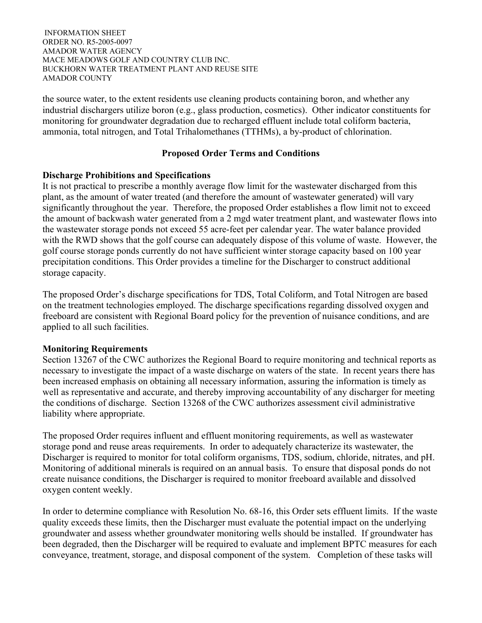the source water, to the extent residents use cleaning products containing boron, and whether any industrial dischargers utilize boron (e.g., glass production, cosmetics). Other indicator constituents for monitoring for groundwater degradation due to recharged effluent include total coliform bacteria, ammonia, total nitrogen, and Total Trihalomethanes (TTHMs), a by-product of chlorination.

# **Proposed Order Terms and Conditions**

## **Discharge Prohibitions and Specifications**

It is not practical to prescribe a monthly average flow limit for the wastewater discharged from this plant, as the amount of water treated (and therefore the amount of wastewater generated) will vary significantly throughout the year. Therefore, the proposed Order establishes a flow limit not to exceed the amount of backwash water generated from a 2 mgd water treatment plant, and wastewater flows into the wastewater storage ponds not exceed 55 acre-feet per calendar year. The water balance provided with the RWD shows that the golf course can adequately dispose of this volume of waste. However, the golf course storage ponds currently do not have sufficient winter storage capacity based on 100 year precipitation conditions. This Order provides a timeline for the Discharger to construct additional storage capacity.

The proposed Order's discharge specifications for TDS, Total Coliform, and Total Nitrogen are based on the treatment technologies employed. The discharge specifications regarding dissolved oxygen and freeboard are consistent with Regional Board policy for the prevention of nuisance conditions, and are applied to all such facilities.

# **Monitoring Requirements**

Section 13267 of the CWC authorizes the Regional Board to require monitoring and technical reports as necessary to investigate the impact of a waste discharge on waters of the state. In recent years there has been increased emphasis on obtaining all necessary information, assuring the information is timely as well as representative and accurate, and thereby improving accountability of any discharger for meeting the conditions of discharge. Section 13268 of the CWC authorizes assessment civil administrative liability where appropriate.

The proposed Order requires influent and effluent monitoring requirements, as well as wastewater storage pond and reuse areas requirements. In order to adequately characterize its wastewater, the Discharger is required to monitor for total coliform organisms, TDS, sodium, chloride, nitrates, and pH. Monitoring of additional minerals is required on an annual basis. To ensure that disposal ponds do not create nuisance conditions, the Discharger is required to monitor freeboard available and dissolved oxygen content weekly.

In order to determine compliance with Resolution No. 68-16, this Order sets effluent limits. If the waste quality exceeds these limits, then the Discharger must evaluate the potential impact on the underlying groundwater and assess whether groundwater monitoring wells should be installed. If groundwater has been degraded, then the Discharger will be required to evaluate and implement BPTC measures for each conveyance, treatment, storage, and disposal component of the system. Completion of these tasks will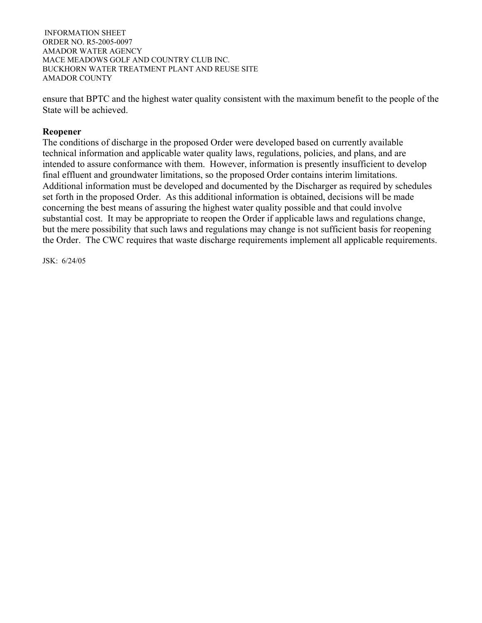ensure that BPTC and the highest water quality consistent with the maximum benefit to the people of the State will be achieved.

## **Reopener**

The conditions of discharge in the proposed Order were developed based on currently available technical information and applicable water quality laws, regulations, policies, and plans, and are intended to assure conformance with them. However, information is presently insufficient to develop final effluent and groundwater limitations, so the proposed Order contains interim limitations. Additional information must be developed and documented by the Discharger as required by schedules set forth in the proposed Order. As this additional information is obtained, decisions will be made concerning the best means of assuring the highest water quality possible and that could involve substantial cost. It may be appropriate to reopen the Order if applicable laws and regulations change, but the mere possibility that such laws and regulations may change is not sufficient basis for reopening the Order. The CWC requires that waste discharge requirements implement all applicable requirements.

JSK: 6/24/05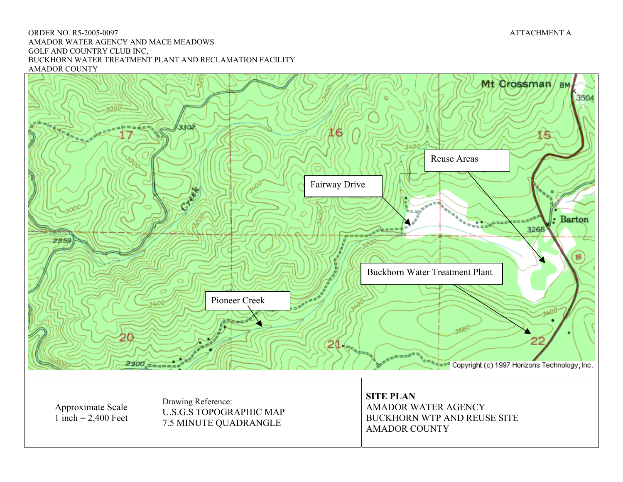#### ORDER NO. R5-2005-0097 ATTACHMENT A AMADOR WATER AGENCY AND MACE MEADOWS GOLF AND COUNTRY CLUB INC, BUCKHORN WATER TREATMENT PLANT AND RECLAMATION FACILITY AMADOR COUNTY